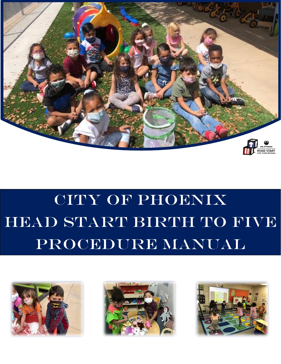

# CITY OF PHOENIX HEAD START BIRTH TO FIVE PROCEDURE MANUAL





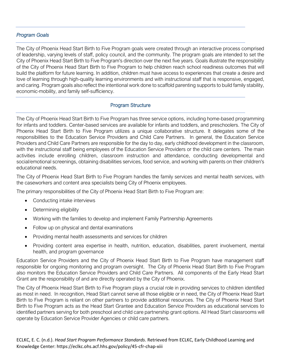# *Program Goals*

The City of Phoenix Head Start Birth to Five Program goals were created through an interactive process comprised of leadership, varying levels of staff, policy council, and the community. The program goals are intended to set the City of Phoenix Head Start Birth to Five Program's direction over the next five years. Goals illustrate the responsibility of the City of Phoenix Head Start Birth to Five Program to help children reach school readiness outcomes that will build the platform for future learning. In addition, children must have access to experiences that create a desire and love of learning through high-quality learning environments and with instructional staff that is responsive, engaged, and caring. Program goals also reflect the intentional work done to scaffold parenting supports to build family stability, economic-mobility, and family self-sufficiency.

# Program Structure

The City of Phoenix Head Start Birth to Five Program has three service options, including home-based programming for infants and toddlers. Center-based services are available for infants and toddlers, and preschoolers. The City of Phoenix Head Start Birth to Five Program utilizes a unique collaborative structure. It delegates some of the responsibilities to the Education Service Providers and Child Care Partners. In general, the Education Service Providers and Child Care Partners are responsible for the day to day, early childhood development in the classroom, with the instructional staff being employees of the Education Service Providers or the child care centers. The main activities include enrolling children, classroom instruction and attendance, conducting developmental and social/emotional screenings, obtaining disabilities services, food service, and working with parents on their children's educational needs.

The City of Phoenix Head Start Birth to Five Program handles the family services and mental health services, with the caseworkers and content area specialists being City of Phoenix employees.

The primary responsibilities of the City of Phoenix Head Start Birth to Five Program are:

- Conducting intake interviews
- Determining eligibility
- Working with the families to develop and implement Family Partnership Agreements
- Follow up on physical and dental examinations
- Providing mental health assessments and services for children
- Providing content area expertise in health, nutrition, education, disabilities, parent involvement, mental health, and program governance

Education Service Providers and the City of Phoenix Head Start Birth to Five Program have management staff responsible for ongoing monitoring and program oversight. The City of Phoenix Head Start Birth to Five Program also monitors the Education Service Providers and Child Care Partners. All components of the Early Head Start Grant are the responsibility of and are directly operated by the City of Phoenix.

The City of Phoenix Head Start Birth to Five Program plays a crucial role in providing services to children identified as most in need. In recognition, Head Start cannot serve all those eligible or in need, the City of Phoenix Head Start Birth to Five Program is reliant on other partners to provide additional resources. The City of Phoenix Head Start Birth to Five Program acts as the Head Start Grantee and Education Service Providers as educational services to identified partners serving for both preschool and child care partnership grant options. All Head Start classrooms will operate by Education Service Provider Agencies or child care partners.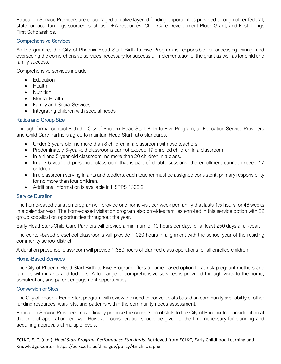Education Service Providers are encouraged to utilize layered funding opportunities provided through other federal, state, or local fundings sources, such as IDEA resources, Child Care Development Block Grant, and First Things First Scholarships.

## Comprehensive Services

As the grantee, the City of Phoenix Head Start Birth to Five Program is responsible for accessing, hiring, and overseeing the comprehensive services necessary for successful implementation of the grant as well as for child and family success.

Comprehensive services include:

- **Education**
- Health
- Nutrition
- Mental Health
- Family and Social Services
- Integrating children with special needs

## Ratios and Group Size

Through formal contact with the City of Phoenix Head Start Birth to Five Program, all Education Service Providers and Child Care Partners agree to maintain Head Start ratio standards.

- Under 3 years old, no more than 8 children in a classroom with two teachers.
- Predominately 3-year-old classrooms cannot exceed 17 enrolled children in a classroom
- In a 4 and 5-year-old classroom, no more than 20 children in a class.
- In a 3-5-year-old preschool classroom that is part of double sessions, the enrollment cannot exceed 17 children.
- In a classroom serving infants and toddlers, each teacher must be assigned consistent, primary responsibility for no more than four children.
- Additional information is available in HSPPS 1302.21

# Service Duration

The home-based visitation program will provide one home visit per week per family that lasts 1.5 hours for 46 weeks in a calendar year. The home-based visitation program also provides families enrolled in this service option with 22 group socialization opportunities throughout the year.

Early Head Start-Child Care Partners will provide a minimum of 10 hours per day, for at least 250 days a full-year.

The center-based preschool classrooms will provide 1,020 hours in alignment with the school year of the residing community school district.

A duration preschool classroom will provide 1,380 hours of planned class operations for all enrolled children.

## Home-Based Services

The City of Phoenix Head Start Birth to Five Program offers a home-based option to at-risk pregnant mothers and families with infants and toddlers. A full range of comprehensive services is provided through visits to the home, socialization, and parent engagement opportunities.

## Conversion of Slots

The City of Phoenix Head Start program will review the need to convert slots based on community availability of other funding resources, wait-lists, and patterns within the community needs assessment.

Education Service Providers may officially propose the conversion of slots to the City of Phoenix for consideration at the time of application renewal. However, consideration should be given to the time necessary for planning and acquiring approvals at multiple levels.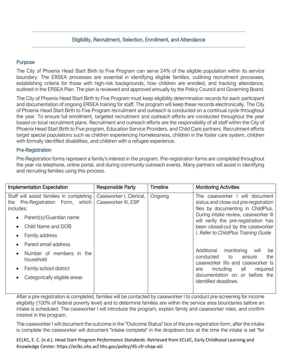## Eligibility, Recruitment, Selection, Enrollment, and Attendance

## Purpose

The City of Phoenix Head Start Birth to Five Program can serve 24% of the eligible population within its service boundary. The ERSEA processes are essential in identifying eligible families, outlining recruitment processes, establishing criteria for those with high-risk backgrounds, how children are enrolled, and tracking attendance, outlined in the ERSEA Plan. The plan is reviewed and approved annually by the Policy Council and Governing Board.

The City of Phoenix Head Start Birth to Five Program must keep eligibility determination records for each participant and documentation of ongoing ERSEA training for staff. The program will keep these records electronically. The City of Phoenix Head Start Birth to Five Program recruitment and outreach is conducted on a continual cycle throughout the year. To ensure full enrollment, targeted recruitment and outreach efforts are conducted throughout the year based on local recruitment plans. Recruitment and outreach efforts are the responsibility of all staff within the City of Phoenix Head Start Birth to Five program, Education Service Providers, and Child Care partners. Recruitment efforts target special populations such as children experiencing homelessness, children in the foster care system, children with formally identified disabilities, and children with a refugee experience.

#### Pre-Registration

Pre-Registration forms represent a family's interest in the program. Pre-registration forms are completed throughout the year via telephone, online portal, and during community outreach events. Many partners will assist in identifying and recruiting families using this process.

| Implementation Expectation                                                                                                                                                              | <b>Responsible Party</b>                       | <b>Timeline</b> | <b>Monitoring Activities</b>                                                                                                                                                                                                                                               |
|-----------------------------------------------------------------------------------------------------------------------------------------------------------------------------------------|------------------------------------------------|-----------------|----------------------------------------------------------------------------------------------------------------------------------------------------------------------------------------------------------------------------------------------------------------------------|
| Staff will assist families in completing<br>Pre-Registration Form, which<br>the<br>includes:<br>Parent(s)/Guardian name<br>Child Name and DOB<br>Family address<br>Parent email address | Caseworker I, Clerical,<br>Caseworker III, ESP | Ongoing         | The caseworker I will document<br>status and close-out pre-registration<br>files by documenting in ChildPlus.<br>During intake review, caseworker III<br>will verify the pre-registration has<br>been closed-out by the caseworker<br>I. Refer to ChildPlus Training Guide |
| Number of members in the<br>household<br>Family school district<br>Categorically eligible areas                                                                                         |                                                |                 | Additional<br>monitoring<br>will<br>be<br>conducted<br>to<br>the<br>ensure<br>caseworker IIIs and caseworker Is<br>including all<br>required<br>are<br>documentation on or before the<br>identified deadlines.                                                             |

After a pre-registration is completed, families will be contacted by caseworker I to conduct pre-screening for income eligibility (100% of federal poverty level) and to determine families are within the service area boundaries before an intake is scheduled. The caseworker I will introduce the program, explain family and caseworker roles, and confirm interest in the program.

The caseworker I will document the outcome in the "Outcome Status" box of the pre-registration form; after the intake is complete the caseworker will document "intake complete" in the dropdown box at the time the intake is set "for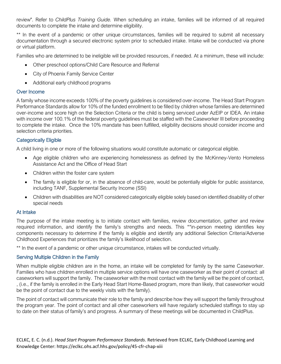review". Refer to *ChildPlus Training Guide.* When scheduling an intake, families will be informed of all required documents to complete the intake and determine eligibility.

\*\* In the event of a pandemic or other unique circumstances, families will be required to submit all necessary documentation through a secured electronic system prior to scheduled intake. Intake will be conducted via phone or virtual platform.

Families who are determined to be ineligible will be provided resources, if needed. At a minimum, these will include:

- Other preschool options/Child Care Resource and Referral
- City of Phoenix Family Service Center
- Additional early childhood programs

## Over Income

A family whose income exceeds 100% of the poverty guidelines is considered over-income. The Head Start Program Performance Standards allow for 10% of the funded enrollment to be filled by children whose families are determined over-income and score high on the Selection Criteria or the child is being serviced under AzEIP or IDEA. An intake with income over 100.1% of the federal poverty guidelines must be staffed with the Caseworker III before proceeding to complete the intake. Once the 10% mandate has been fulfilled, eligibility decisions should consider income and selection criteria priorities.

## Categorically Eligible

A child living in one or more of the following situations would constitute automatic or categorical eligible.

- Age eligible children who are experiencing homelessness as defined by the McKinney-Vento Homeless Assistance Act and the Office of Head Start
- Children within the foster care system
- The family is eligible for or, in the absence of child-care, would be potentially eligible for public assistance, including TANF, Supplemental Security Income (SSI)
- Children with disabilities are NOT considered categorically eligible solely based on identified disability of other special needs

# At Intake

The purpose of the intake meeting is to initiate contact with families, review documentation, gather and review required information, and identify the family's strengths and needs. This \*\*in-person meeting identifies key components necessary to determine if the family is eligible and identify any additional Selection Criteria/Adverse Childhood Experiences that prioritizes the family's likelihood of selection.

\*\* In the event of a pandemic or other unique circumstance, intakes will be conducted virtually.

## Serving Multiple Children in the Family

When multiple eligible children are in the home, an intake will be completed for family by the same Caseworker. Families who have children enrolled in multiple service options will have one caseworker as their point of contact: all caseworkers will support the family. The caseworker with the most contact with the family will be the point of contact, , (i.e., if the family is enrolled in the Early Head Start Home-Based program, more than likely, that caseworker would be the point of contact due to the weekly visits with the family).

The point of contact will communicate their role to the family and describe how they will support the family throughout the program year. The point of contact and all other caseworkers will have regularly scheduled staffings to stay up to date on their status of family's and progress. A summary of these meetings will be documented in ChildPlus.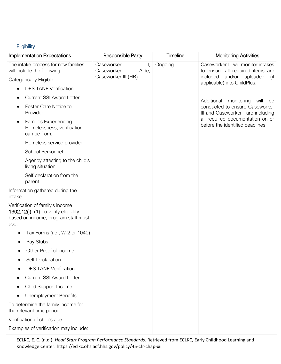# **Eligibility**

| <b>Implementation Expectations</b>                                                                                      | <b>Responsible Party</b>                | Timeline | <b>Monitoring Activities</b>                                            |
|-------------------------------------------------------------------------------------------------------------------------|-----------------------------------------|----------|-------------------------------------------------------------------------|
| The intake process for new families<br>will include the following:                                                      | Caseworker<br>Ι,<br>Aide,<br>Caseworker | Ongoing  | Caseworker III will monitor intakes<br>to ensure all required items are |
| Categorically Eligible:                                                                                                 | Caseworker III (HB)                     |          | and/or uploaded<br>included<br>(if<br>applicable) into ChildPlus.       |
| <b>DES TANF Verification</b>                                                                                            |                                         |          |                                                                         |
| <b>Current SSI Award Letter</b>                                                                                         |                                         |          | Additional<br>monitoring<br>will<br>be                                  |
| Foster Care Notice to<br>Provider                                                                                       |                                         |          | conducted to ensure Caseworker<br>III and Caseworker I are including    |
| <b>Families Experiencing</b><br>٠<br>Homelessness, verification<br>can be from;                                         |                                         |          | all required documentation on or<br>before the identified deadlines.    |
| Homeless service provider                                                                                               |                                         |          |                                                                         |
| <b>School Personnel</b>                                                                                                 |                                         |          |                                                                         |
| Agency attesting to the child's<br>living situation                                                                     |                                         |          |                                                                         |
| Self-declaration from the<br>parent                                                                                     |                                         |          |                                                                         |
| Information gathered during the<br>intake                                                                               |                                         |          |                                                                         |
| Verification of family's income<br>1302.12(i): (1) To verify eligibility<br>based on income, program staff must<br>use: |                                         |          |                                                                         |
| Tax Forms (i.e., W-2 or 1040)<br>٠                                                                                      |                                         |          |                                                                         |
| Pay Stubs                                                                                                               |                                         |          |                                                                         |
| Other Proof of Income                                                                                                   |                                         |          |                                                                         |
| Self-Declaration                                                                                                        |                                         |          |                                                                         |
| <b>DES TANF Verification</b>                                                                                            |                                         |          |                                                                         |
| <b>Current SSI Award Letter</b>                                                                                         |                                         |          |                                                                         |
| Child Support Income<br>٠                                                                                               |                                         |          |                                                                         |
| <b>Unemployment Benefits</b>                                                                                            |                                         |          |                                                                         |
| To determine the family income for<br>the relevant time period.                                                         |                                         |          |                                                                         |
| Verification of child's age                                                                                             |                                         |          |                                                                         |
| Examples of verification may include:                                                                                   |                                         |          |                                                                         |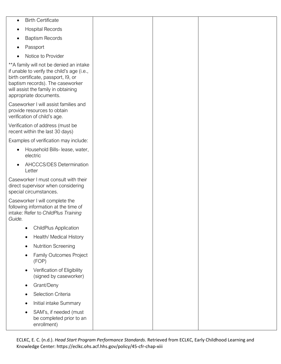| $\bullet$ | <b>Birth Certificate</b>                                                                                                                                                                                                           |  |  |
|-----------|------------------------------------------------------------------------------------------------------------------------------------------------------------------------------------------------------------------------------------|--|--|
|           | <b>Hospital Records</b>                                                                                                                                                                                                            |  |  |
| ٠         | <b>Baptism Records</b>                                                                                                                                                                                                             |  |  |
|           | Passport                                                                                                                                                                                                                           |  |  |
|           | Notice to Provider                                                                                                                                                                                                                 |  |  |
|           | ** A family will not be denied an intake<br>if unable to verify the child's age (i.e.,<br>birth certificate, passport, I9, or<br>baptism records). The caseworker<br>will assist the family in obtaining<br>appropriate documents. |  |  |
|           | Caseworker I will assist families and<br>provide resources to obtain<br>verification of child's age.                                                                                                                               |  |  |
|           | Verification of address (must be<br>recent within the last 30 days)                                                                                                                                                                |  |  |
|           | Examples of verification may include:                                                                                                                                                                                              |  |  |
| $\bullet$ | Household Bills- lease, water,<br>electric                                                                                                                                                                                         |  |  |
|           | AHCCCS/DES Determination<br>Letter                                                                                                                                                                                                 |  |  |
|           | Caseworker I must consult with their<br>direct supervisor when considering<br>special circumstances.                                                                                                                               |  |  |
| Guide.    | Caseworker I will complete the<br>following information at the time of<br>intake: Refer to ChildPlus Training                                                                                                                      |  |  |
|           | <b>ChildPlus Application</b>                                                                                                                                                                                                       |  |  |
| $\bullet$ | Health/ Medical History                                                                                                                                                                                                            |  |  |
| $\bullet$ | <b>Nutrition Screening</b>                                                                                                                                                                                                         |  |  |
|           | Family Outcomes Project<br>(FOP)                                                                                                                                                                                                   |  |  |
|           | Verification of Eligibility<br>(signed by caseworker)                                                                                                                                                                              |  |  |
| $\bullet$ | Grant/Deny                                                                                                                                                                                                                         |  |  |
|           | Selection Criteria                                                                                                                                                                                                                 |  |  |
|           | Initial intake Summary                                                                                                                                                                                                             |  |  |
|           | SAM's, if needed (must<br>be completed prior to an<br>enrollment)                                                                                                                                                                  |  |  |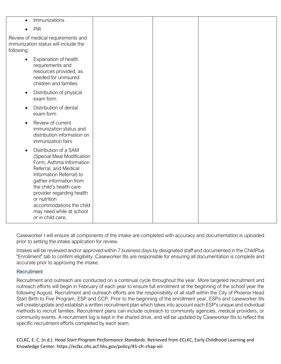Caseworker I will ensure all components of the intake are completed with accuracy and documentation is uploaded prior to setting the intake application for review.

Intakes will be reviewed and/or approved within 7 business days by designated staff and documented in the ChildPlus "Enrollment" tab to confirm eligibility. Caseworker IIIs are responsible for ensuring all documentation is complete and accurate prior to approving the intake.

# Recruitment

Recruitment and outreach are conducted on a continual cycle throughout the year. More targeted recruitment and outreach efforts will begin in February of each year to ensure full enrollment at the beginning of the school year the following August. Recruitment and outreach efforts are the responsibility of all staff within the City of Phoenix Head Start Birth to Five Program, ESP and CCP. Prior to the beginning of the enrollment year, ESPs and caseworker IIIs will create/update and establish a written recruitment plan which takes into account each ESP's unique and individual methods to recruit families. Recruitment plans can include outreach to community agencies, medical providers, or community events. A recruitment log is kept in the shared drive, and will be updated by Caseworker IIIs to reflect the specific recruitment efforts completed by each team.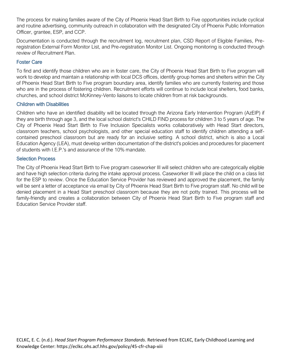The process for making families aware of the City of Phoenix Head Start Birth to Five opportunities include cyclical and routine advertising, community outreach in collaboration with the designated City of Phoenix Public Information Officer, grantee, ESP, and CCP.

Documentation is conducted through the recruitment log, recruitment plan, CSD Report of Eligible Families, Preregistration External Form Monitor List, and Pre-registration Monitor List. Ongoing monitoring is conducted through review of Recruitment Plan.

# Foster Care

To find and identify those children who are in foster care, the City of Phoenix Head Start Birth to Five program will work to develop and maintain a relationship with local DCS offices, identify group homes and shelters within the City of Phoenix Head Start Birth to Five program boundary area, identify families who are currently fostering and those who are in the process of fostering children. Recruitment efforts will continue to include local shelters, food banks, churches, and school district McKinney-Vento liaisons to locate children from at risk backgrounds.

# Children with Disabilities

Children who have an identified disability will be located through the Arizona Early Intervention Program (AzEIP) if they are birth through age 3, and the local school district's CHILD FIND process for children 3 to 5 years of age. The City of Phoenix Head Start Birth to Five Inclusion Specialists works collaboratively with Head Start directors, classroom teachers, school psychologists, and other special education staff to identify children attending a selfcontained preschool classroom but are ready for an inclusive setting. A school district, which is also a Local Education Agency (LEA), must develop written documentation of the district's policies and procedures for placement of students with I.E.P.'s and assurance of the 10% mandate.

## Selection Process

The City of Phoenix Head Start Birth to Five program caseworker III will select children who are categorically eligible and have high selection criteria during the intake approval process. Caseworker III will place the child on a class list for the ESP to review. Once the Education Service Provider has reviewed and approved the placement, the family will be sent a letter of acceptance via email by City of Phoenix Head Start Birth to Five program staff. No child will be denied placement in a Head Start preschool classroom because they are not potty trained. This process will be family-friendly and creates a collaboration between City of Phoenix Head Start Birth to Five program staff and Education Service Provider staff.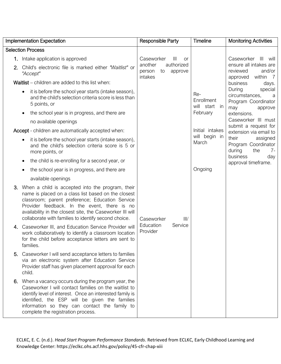|    | <b>Implementation Expectation</b>                                                                                                                                                                                                                                                                                               | Responsible Party                                           | <b>Timeline</b>                       | <b>Monitoring Activities</b>                                                      |
|----|---------------------------------------------------------------------------------------------------------------------------------------------------------------------------------------------------------------------------------------------------------------------------------------------------------------------------------|-------------------------------------------------------------|---------------------------------------|-----------------------------------------------------------------------------------|
|    | <b>Selection Process</b>                                                                                                                                                                                                                                                                                                        |                                                             |                                       |                                                                                   |
|    | 1. Intake application is approved                                                                                                                                                                                                                                                                                               | Caseworker<br>$\mathop{\mathsf{III}}\nolimits$<br><b>or</b> |                                       | Caseworker<br>$\mathbb{H}$<br>will                                                |
| 2. | Child's electronic file is marked either "Waitlist" or<br>"Accept"                                                                                                                                                                                                                                                              | another<br>authorized<br>to<br>approve<br>person<br>intakes |                                       | ensure all intakes are<br>reviewed<br>and/or<br>within 7<br>approved              |
|    | Waitlist – children are added to this list when:                                                                                                                                                                                                                                                                                |                                                             |                                       | business<br>days.                                                                 |
|    | it is before the school year starts (intake season),<br>and the child's selection criteria score is less than<br>5 points, or                                                                                                                                                                                                   |                                                             | Re-<br>Enrollment<br>will start<br>in | During<br>special<br>circumstances,<br>a<br>Program Coordinator<br>may<br>approve |
|    | the school year is in progress, and there are<br>$\bullet$                                                                                                                                                                                                                                                                      |                                                             | February                              | extensions.                                                                       |
|    | no available openings                                                                                                                                                                                                                                                                                                           |                                                             |                                       | Caseworker III must                                                               |
|    | Accept - children are automatically accepted when:                                                                                                                                                                                                                                                                              |                                                             | Initial intakes                       | submit a request for<br>extension via email to                                    |
|    | it is before the school year starts (intake season),<br>and the child's selection criteria score is 5 or<br>more points, or                                                                                                                                                                                                     |                                                             | will begin in<br>March                | their<br>assigned<br>Program Coordinator<br>during<br>the<br>-7                   |
|    | the child is re-enrolling for a second year, or                                                                                                                                                                                                                                                                                 |                                                             |                                       | business<br>day<br>approval timeframe.                                            |
|    | the school year is in progress, and there are                                                                                                                                                                                                                                                                                   |                                                             | Ongoing                               |                                                                                   |
|    | available openings                                                                                                                                                                                                                                                                                                              |                                                             |                                       |                                                                                   |
| 3. | When a child is accepted into the program, their<br>name is placed on a class list based on the closest<br>classroom; parent preference; Education Service<br>Provider feedback. In the event, there is no<br>availability in the closest site, the Caseworker III will<br>collaborate with families to identify second choice. | III/<br>Caseworker                                          |                                       |                                                                                   |
| 4. | Caseworker III, and Education Service Provider will<br>work collaboratively to identify a classroom location<br>for the child before acceptance letters are sent to<br>families.                                                                                                                                                | Education<br>Service<br>Provider                            |                                       |                                                                                   |
|    | 5. Caseworker I will send acceptance letters to families<br>via an electronic system after Education Service<br>Provider staff has given placement approval for each<br>child.                                                                                                                                                  |                                                             |                                       |                                                                                   |
|    | 6. When a vacancy occurs during the program year, the<br>Caseworker I will contact families on the waitlist to<br>identify level of interest. Once an interested family is<br>identified, the ESP will be given the families<br>information so they can contact the family to<br>complete the registration process.             |                                                             |                                       |                                                                                   |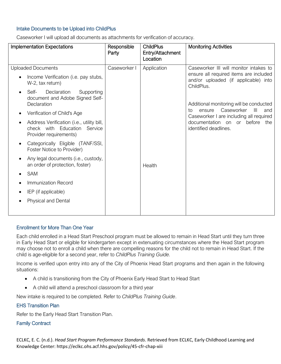# Intake Documents to be Upload into ChildPlus

| <b>Implementation Expectations</b>                                                                                                                                                                                                                                                                                                                                                                                                                                                                                                                                                                                                                             | Responsible<br>Party | <b>ChildPlus</b><br>Entry/Attachment<br>Location | <b>Monitoring Activities</b>                                                                                                                                                                                                                                                                                                                    |
|----------------------------------------------------------------------------------------------------------------------------------------------------------------------------------------------------------------------------------------------------------------------------------------------------------------------------------------------------------------------------------------------------------------------------------------------------------------------------------------------------------------------------------------------------------------------------------------------------------------------------------------------------------------|----------------------|--------------------------------------------------|-------------------------------------------------------------------------------------------------------------------------------------------------------------------------------------------------------------------------------------------------------------------------------------------------------------------------------------------------|
| <b>Uploaded Documents</b><br>Income Verification (i.e. pay stubs,<br>$\bullet$<br>W-2, tax return)<br>Self-<br>Declaration<br>Supporting<br>$\bullet$<br>document and Adobe Signed Self-<br>Declaration<br>Verification of Child's Age<br>$\bullet$<br>Address Verification (i.e., utility bill,<br>$\bullet$<br>check with Education<br>Service<br>Provider requirements)<br>Categorically Eligible (TANF/SSI,<br>$\bullet$<br>Foster Notice to Provider)<br>Any legal documents (i.e., custody,<br>$\bullet$<br>an order of protection, foster)<br><b>SAM</b><br>$\bullet$<br>Immunization Record<br>IEP (if applicable)<br>$\bullet$<br>Physical and Dental | Caseworker I         | Application<br>Health                            | Caseworker III will monitor intakes to<br>ensure all required items are included<br>and/or uploaded (if applicable) into<br>ChildPlus.<br>Additional monitoring will be conducted<br>Caseworker<br>$\mathbb{H}$<br>ensure<br>and<br>to<br>Caseworker I are including all required<br>documentation on or before<br>the<br>identified deadlines. |
|                                                                                                                                                                                                                                                                                                                                                                                                                                                                                                                                                                                                                                                                |                      |                                                  |                                                                                                                                                                                                                                                                                                                                                 |

Caseworker I will upload all documents as attachments for verification of accuracy.

# Enrollment for More Than One Year

Each child enrolled in a Head Start Preschool program must be allowed to remain in Head Start until they turn three in Early Head Start or eligible for kindergarten except in extenuating circumstances where the Head Start program may choose not to enroll a child when there are compelling reasons for the child not to remain in Head Start. If the child is age-eligible for a second year, refer to *ChildPlus Training Guide.*

Income is verified upon entry into any of the City of Phoenix Head Start programs and then again in the following situations:

- A child is transitioning from the City of Phoenix Early Head Start to Head Start
- A child will attend a preschool classroom for a third year

New intake is required to be completed. Refer to *ChildPlus Training Guide*.

# EHS Transition Plan

Refer to the Early Head Start Transition Plan.

## Family Contract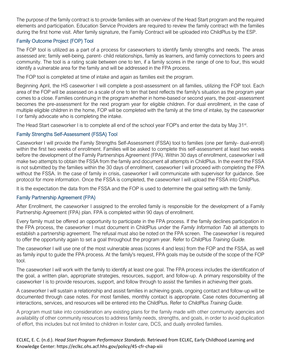The purpose of the family contract is to provide families with an overview of the Head Start program and the required elements and participation. Education Service Providers are required to review the family contract with the families during the first home visit. After family signature, the Family Contract will be uploaded into ChildPlus by the ESP.

# Family Outcome Project (FOP) Tool

The FOP tool is utilized as a part of a process for caseworkers to identify family strengths and needs. The areas assessed are; family well-being, parent- child relationships, family as learners, and family connections to peers and community. The tool is a rating scale between one to ten, if a family scores in the range of one to four, this would identify a vulnerable area for the family and will be addressed in the FPA process.

The FOP tool is completed at time of intake and again as families exit the program.

Beginning April, the HS caseworker I will complete a post-assessment on all families, utilizing the FOP tool. Each area of the FOP will be assessed on a scale of one to ten that best reflects the family's situation as the program year comes to a close. Families continuing in the program whether in home-based or second years, the post -assessment becomes the pre-assessment for the next program year for eligible children. For dual enrollment, in the case of multiple eligible children in the home, FOP will be completed with the family at the time of intake, by the caseworker I or family advocate who is completing the intake.

The Head Start caseworker I is to complete all end of the school year FOP's and enter the data by May 31<sup>st</sup>.

# Family Strengths Self-Assessment (FSSA) Tool

Caseworker I will provide the Family Strengths Self-Assessment (FSSA) tool to families (one per family- dual-enroll) within the first two weeks of enrollment. Families will be asked to complete this self-assessment at least two weeks before the development of the Family Partnerships Agreement (FPA). Within 30 days of enrollment, caseworker I will make two attempts to obtain the FSSA from the family and document all attempts in ChildPlus. In the event the FSSA is not submitted by the families within the 30 days of enrollment, caseworker I will proceed with completing the FPA without the FSSA. In the case of family in crisis, caseworker I will communicate with supervisor for guidance. See protocol for more information. Once the FSSA is completed, the caseworker I will upload the FSSA into ChildPlus.

It is the expectation the data from the FSSA and the FOP is used to determine the goal setting with the family.

# Family Partnership Agreement (FPA)

After Enrollment, the caseworker I assigned to the enrolled family is responsible for the development of a Family Partnership Agreement (FPA) plan. FPA is completed within 90 days of enrollment.

Every family must be offered an opportunity to participate in the FPA process. If the family declines participation in the FPA process, the caseworker I must document in ChildPlus under the *Family Information Tab* all attempts to establish a partnership agreement. The refusal must also be noted on the FPA screen. The caseworker I is required to offer the opportunity again to set a goal throughout the program year. Refer to *ChildPlus Training Guide.*

The caseworker I will use one of the most vulnerable areas (scores 4 and less) from the FOP and the FSSA, as well as family input to guide the FPA process. At the family's request, FPA goals may be outside of the scope of the FOP tool.

The caseworker I will work with the family to identify at least one goal. The FPA process includes the identification of the goal, a written plan, appropriate strategies, resources, support, and follow-up. A primary responsibility of the caseworker I is to provide resources, support, and follow through to assist the families in achieving their goals.

A caseworker I will sustain a relationship and assist families in achieving goals, ongoing contact and follow-up will be documented through case notes. For most families, monthly contact is appropriate. Case notes documenting all interactions, services, and resources will be entered into the ChildPlus. Refer to *ChildPlus Training Guide.*

A program must take into consideration any existing plans for the family made with other community agencies and availability of other community resources to address family needs, strengths, and goals, in order to avoid duplication of effort, this includes but not limited to children in foster care, DCS, and dually enrolled families.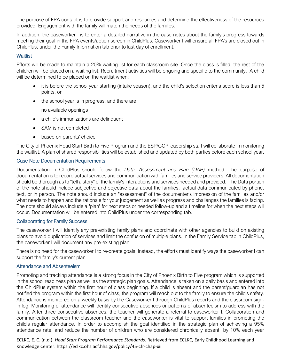The purpose of FPA contact is to provide support and resources and determine the effectiveness of the resources provided. Engagement with the family will match the needs of the families.

In addition, the caseworker I is to enter a detailed narrative in the case notes about the family's progress towards meeting their goal in the FPA events/action screen in ChildPlus. Caseworker I will ensure all FPA's are closed out in ChildPlus, under the Family Information tab prior to last day of enrollment.

## **Waitlist**

Efforts will be made to maintain a 20% waiting list for each classroom site. Once the class is filled, the rest of the children will be placed on a waiting list. Recruitment activities will be ongoing and specific to the community. A child will be determined to be placed on the waitlist when:

- it is before the school year starting (intake season), and the child's selection criteria score is less than 5 points, or
- the school year is in progress, and there are

no available openings

- a child's immunizations are delinquent
- SAM is not completed
- based on parents' choice

The City of Phoenix Head Start Birth to Five Program and the ESP/CCP leadership staff will collaborate in monitoring the waitlist. A plan of shared responsibilities will be established and updated by both parties before each school year.

## Case Note Documentation Requirements

Documentation in ChildPlus should follow the *Data, Assessment and Plan (DAP)* method. The purpose of documentation is to record actual services and communication with families and service providers. All documentation should be thorough as to "tell a story" of the family's interactions and services needed and provided. The Data portion of the note should include subjective and objective data about the families, factual data communicated by phone, text, or in person. The note should include an "assessment" of the documenter's impression of the families and/or what needs to happen and the rationale for your judgement as well as progress and challenges the families is facing. The note should always include a "plan" for next steps or needed follow-up and a timeline for when the next steps will occur. Documentation will be entered into ChildPlus under the corresponding tab.

## Collaborating for Family Success

The caseworker I will identify any pre-existing family plans and coordinate with other agencies to build on existing plans to avoid duplication of services and limit the confusion of multiple plans. In the Family Service tab in ChildPlus, the caseworker I will document any pre-existing plan.

There is no need for the caseworker I to re-create goals. Instead, the efforts must identify ways the caseworker I can support the family's current plan.

## Attendance and Absenteeism

Promoting and tracking attendance is a strong focus in the City of Phoenix Birth to Five program which is supported in the school readiness plan as well as the strategic plan goals. Attendance is taken on a daily basis and entered into the ChildPlus system within the first hour of class beginning. If a child is absent and the parent/guardian has not notified the program within the first hour of class, the program will reach out to the family to ensure the child's safety. Attendance is monitored on a weekly basis by the Caseworker I through ChildPlus reports and the classroom signin log. Monitoring of attendance will identify consecutive absences or patterns of absenteeism to address with the family. After three consecutive absences, the teacher will generate a referral to caseworker I. Collaboration and communication between the classroom teacher and the caseworker is vital to support families in promoting the child's regular attendance. In order to accomplish the goal identified in the strategic plan of achieving a 95% attendance rate, and reduce the number of children who are considered chronically absent by 10% each year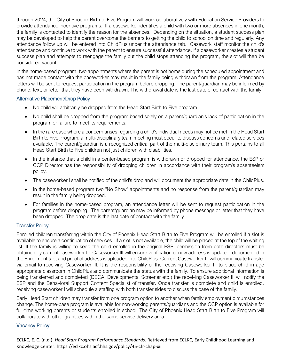through 2024, the City of Phoenix Birth to Five Program will work collaboratively with Education Service Providers to provide attendance incentive programs. If a caseworker identifies a child with two or more absences in one month, the family is contacted to identify the reason for the absences. Depending on the situation, a student success plan may be developed to help the parent overcome the barriers to getting the child to school on time and regularly. Any attendance follow up will be entered into ChildPlus under the attendance tab. Casework staff monitor the child's attendance and continue to work with the parent to ensure successful attendance. If a caseworker creates a student success plan and attempts to reengage the family but the child stops attending the program, the slot will then be considered vacant.

In the home-based program, two appointments where the parent is not home during the scheduled appointment and has not made contact with the caseworker may result in the family being withdrawn from the program. Attendance letters will be sent to request participation in the program before dropping. The parent/guardian may be informed by phone, text, or letter that they have been withdrawn. The withdrawal date is the last date of contact with the family.

## Alternative Placement/Drop Policy

- No child will arbitrarily be dropped from the Head Start Birth to Five program.
- No child shall be dropped from the program based solely on a parent/guardian's lack of participation in the program or failure to meet its requirements.
- In the rare case where a concern arises regarding a child's individual needs may not be met in the Head Start Birth to Five Program, a multi-disciplinary team meeting must occur to discuss concerns and related services available. The parent/guardian is a recognized critical part of the multi-disciplinary team. This pertains to all Head Start Birth to Five children not just children with disabilities.
- In the instance that a child in a center-based program is withdrawn or dropped for attendance, the ESP or CCP Director has the responsibility of dropping children in accordance with their program's absenteeism policy.
- The caseworker I shall be notified of the child's drop and will document the appropriate date in the ChildPlus.
- In the home-based program two "No Show" appointments and no response from the parent/guardian may result in the family being dropped.
- For families in the home-based program, an attendance letter will be sent to request participation in the program before dropping. The parent/guardian may be informed by phone message or letter that they have been dropped. The drop date is the last date of contact with the family.

# Transfer Policy

Enrolled children transferring within the City of Phoenix Head Start Birth to Five Program will be enrolled if a slot is available to ensure a continuation of services. If a slot is not available, the child will be placed at the top of the waiting list. If the family is willing to keep the child enrolled in the original ESP, permission from both directors must be obtained by current caseworker III. Caseworker III will ensure verification of new address is updated, documented in the Enrollment tab, and proof of address is uploaded into ChildPlus. Current Caseworker III will communicate transfer via email to receiving Caseworker III. It is the responsibility of the receiving Caseworker III to place child in age appropriate classroom in ChildPlus and communicate the status with the family. To ensure additional information is being transferred and completed (DECA, Developmental Screener etc.) the receiving Caseworker III will notify the ESP and the Behavioral Support Content Specialist of transfer. Once transfer is complete and child is enrolled, receiving caseworker I will schedule a staffing with both transfer sides to discuss the case of the family.

Early Head Start children may transfer from one program option to another when family employment circumstances change. The home-base program is available for non-working parents/guardians and the CCP option is available for full-time working parents or students enrolled in school. The City of Phoenix Head Start Birth to Five Program will collaborate with other grantees within the same service delivery area.

# Vacancy Policy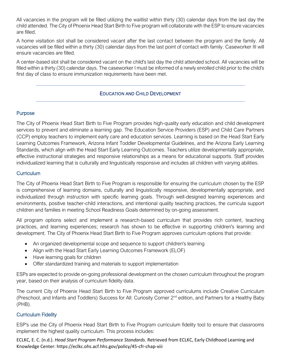All vacancies in the program will be filled utilizing the waitlist within thirty (30) calendar days from the last day the child attended. The City of Phoenix Head Start Birth to Five program will collaborate with the ESP to ensure vacancies are filled.

A home visitation slot shall be considered vacant after the last contact between the program and the family. All vacancies will be filled within a thirty (30) calendar days from the last point of contact with family. Caseworker III will ensure vacancies are filled.

A center-based slot shall be considered vacant on the child's last day the child attended school. All vacancies will be filled within a thirty (30) calendar days. The caseworker I must be informed of a newly enrolled child prior to the child's first day of class to ensure immunization requirements have been met.

# EDUCATION AND CHILD DEVELOPMENT

# Purpose

The City of Phoenix Head Start Birth to Five Program provides high-quality early education and child development services to prevent and eliminate a learning gap. The Education Service Providers (ESP) and Child Care Partners (CCP) employ teachers to implement early care and education services. Learning is based on the Head Start Early Learning Outcomes Framework, Arizona Infant Toddler Developmental Guidelines, and the Arizona Early Learning Standards, which align with the Head Start Early Learning Outcomes. Teachers utilize developmentally appropriate, effective instructional strategies and responsive relationships as a means for educational supports. Staff provides individualized learning that is culturally and linguistically responsive and includes all children with varying abilities.

## Curriculum

The City of Phoenix Head Start Birth to Five Program is responsible for ensuring the curriculum chosen by the ESP is comprehensive of learning domains, culturally and linguistically responsive, developmentally appropriate, and individualized through instruction with specific learning goals. Through well-designed learning experiences and environments, positive teacher-child interactions, and intentional quality teaching practices, the curricula support children and families in meeting School Readiness Goals determined by on-going assessment.

All program options select and implement a research-based curriculum that provides rich content, teaching practices, and learning experiences; research has shown to be effective in supporting children's learning and development. The City of Phoenix Head Start Birth to Five Program approves curriculum options that provide:

- An organized developmental scope and sequence to support children's learning
- Align with the Head Start Early Learning Outcomes Framework (ELOF)
- Have learning goals for children
- Offer standardized training and materials to support implementation

ESPs are expected to provide on-going professional development on the chosen curriculum throughout the program year, based on their analysis of curriculum fidelity data.

The current City of Phoenix Head Start Birth to Five Program approved curriculums include Creative Curriculum (Preschool, and Infants and Toddlers) Success for All: Curiosity Corner 2nd edition, and Partners for a Healthy Baby (PHB).

## Curriculum Fidelity

ESP's use the City of Phoenix Head Start Birth to Five Program curriculum fidelity tool to ensure that classrooms implement the highest quality curriculum. This process includes: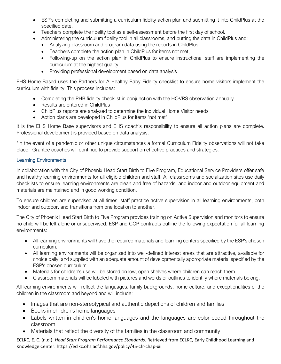- ESP's completing and submitting a curriculum fidelity action plan and submitting it into ChildPlus at the specified date.
- Teachers complete the fidelity tool as a self-assessment before the first day of school.
- Administering the curriculum fidelity tool in all classrooms, and putting the data in ChildPlus and:
	- Analyzing classroom and program data using the reports in ChildPlus,
	- Teachers complete the action plan in ChildPlus for items not met,
	- Following-up on the action plan in ChildPlus to ensure instructional staff are implementing the curriculum at the highest quality.
	- Providing professional development based on data analysis

EHS Home-Based uses the Partners for A Healthy Baby Fidelity checklist to ensure home visitors implement the curriculum with fidelity. This process includes:

- Completing the PHB fidelity checklist in conjunction with the HOVRS observation annually
- Results are entered in ChildPlus
- ChildPlus reports are analyzed to determine the individual Home Visitor needs
- Action plans are developed in ChildPlus for items "not met"

It is the EHS Home Base supervisors and EHS coach's responsibility to ensure all action plans are complete. Professional development is provided based on data analysis.

\*In the event of a pandemic or other unique circumstances a formal Curriculum Fidelity observations will not take place. Grantee coaches will continue to provide support on effective practices and strategies.

# Learning Environments

In collaboration with the City of Phoenix Head Start Birth to Five Program, Educational Service Providers offer safe and healthy learning environments for all eligible children and staff. All classrooms and socialization sites use daily checklists to ensure learning environments are clean and free of hazards, and indoor and outdoor equipment and materials are maintained and in good working condition.

To ensure children are supervised at all times, staff practice active supervision in all learning environments, both indoor and outdoor, and transitions from one location to another.

The City of Phoenix Head Start Birth to Five Program provides training on Active Supervision and monitors to ensure no child will be left alone or unsupervised. ESP and CCP contracts outline the following expectation for all learning environments:

- All learning environments will have the required materials and learning centers specified by the ESP's chosen curriculum.
- All learning environments will be organized into well-defined interest areas that are attractive, available for choice daily, and supplied with an adequate amount of developmentally appropriate material specified by the ESP's chosen curriculum.
- Materials for children's use will be stored on low, open shelves where children can reach them.
- Classroom materials will be labeled with pictures and words or outlines to identify where materials belong.

All learning environments will reflect the languages, family backgrounds, home culture, and exceptionalities of the children in the classroom and beyond and will include:

- Images that are non-stereotypical and authentic depictions of children and families
- Books in children's home languages
- Labels written in children's home languages and the languages are color-coded throughout the classroom
- Materials that reflect the diversity of the families in the classroom and community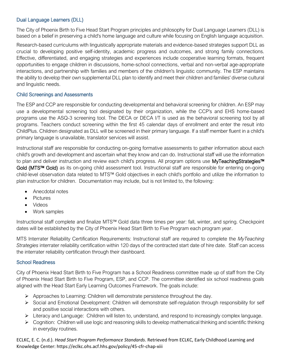# Dual Language Learners (DLL)

The City of Phoenix Birth to Five Head Start Program principles and philosophy for Dual Language Learners (DLL) is based on a belief in preserving a child's home language and culture while focusing on English language acquisition.

Research-based curriculums with linguistically appropriate materials and evidence-based strategies support DLL as crucial to developing positive self-identity, academic progress and outcomes, and strong family connections. Effective, differentiated, and engaging strategies and experiences include cooperative learning formats, frequent opportunities to engage children in discussions, home-school connections, verbal and non-verbal age-appropriate interactions, and partnership with families and members of the children's linguistic community. The ESP maintains the ability to develop their own supplemental DLL plan to identify and meet their children and families' diverse cultural and linguistic needs.

# Child Screenings and Assessments

The ESP and CCP are responsible for conducting developmental and behavioral screening for children. An ESP may use a developmental screening tool designated by their organization, while the CCP's and EHS home-based programs use the ASQ-3 screening tool. The DECA or DECA I/T is used as the behavioral screening tool by all programs. Teachers conduct screening within the first 45 calendar days of enrollment and enter the result into ChildPlus. Children designated as DLL will be screened in their primary language. If a staff member fluent in a child's primary language is unavailable, translator services will assist.

Instructional staff are responsible for conducting on-going formative assessments to gather information about each child's growth and development and ascertain what they know and can do. Instructional staff will use the information to plan and deliver instruction and review each child's progress. All program options use MyTeachingStrategies™ Gold (MTS<sup>™</sup> Gold) as its on-going child assessment tool. Instructional staff are responsible for entering on-going child-level observation data related to MTS™ Gold objectives in each child's portfolio and utilize the information to plan instruction for children. Documentation may include, but is not limited to, the following:

- Anecdotal notes
- Pictures
- Videos
- Work samples

Instructional staff complete and finalize MTS™ Gold data three times per year: fall, winter, and spring. Checkpoint dates will be established by the City of Phoenix Head Start Birth to Five Program each program year.

MTS Interrater Reliability Certification Requirements: Instructional staff are required to complete the *MyTeaching Strategies* interrater reliability certification within 120 days of the contracted start date of hire date. Staff can access the interrater reliability certification through their dashboard.

## School Readiness

City of Phoenix Head Start Birth to Five Program has a School Readiness committee made up of staff from the City of Phoenix Head Start Birth to Five Program, ESP, and CCP. The committee identified six school readiness goals aligned with the Head Start Early Learning Outcomes Framework. The goals include:

- $\triangleright$  Approaches to Learning: Children will demonstrate persistence throughout the day.
- ➢ Social and Emotional Development: Children will demonstrate self-regulation through responsibility for self and positive social interactions with others.
- ➢ Literacy and Language: Children will listen to, understand, and respond to increasingly complex language.
- $\triangleright$  Cognition: Children will use logic and reasoning skills to develop mathematical thinking and scientific thinking in everyday routines.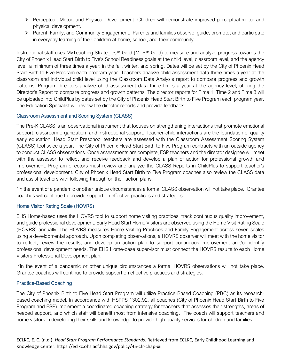- ➢ Perceptual, Motor, and Physical Development: Children will demonstrate improved perceptual-motor and physical development.
- ➢ Parent, Family, and Community Engagement: Parents and families observe, guide, promote, and participate in everyday learning of their children at home, school, and their community.

Instructional staff uses MyTeaching Strategies™ Gold (MTS™ Gold) to measure and analyze progress towards the City of Phoenix Head Start Birth to Five's School Readiness goals at the child level, classroom level, and the agency level, a minimum of three times a year: in the fall, winter, and spring. Dates will be set by the City of Phoenix Head Start Birth to Five Program each program year. Teachers analyze child assessment data three times a year at the classroom and individual child level using the Classroom Data Analysis report to compare progress and growth patterns. Program directors analyze child assessment data three times a year at the agency level, utilizing the Director's Report to compare progress and growth patterns. The director reports for Time 1, Time 2 and Time 3 will be uploaded into ChildPlus by dates set by the City of Phoenix Head Start Birth to Five Program each program year. The Education Specialist will review the director reports and provide feedback.

## Classroom Assessment and Scoring System (CLASS)

The Pre-K CLASS is an observational instrument that focuses on strengthening interactions that promote emotional support, classroom organization, and instructional support. Teacher-child interactions are the foundation of quality early education. Head Start Preschool teachers are assessed with the Classroom Assessment Scoring System (CLASS) tool twice a year. The City of Phoenix Head Start Birth to Five Program contracts with an outside agency to conduct CLASS observations. Once assessments are complete, ESP teachers and the director designee will meet with the assessor to reflect and receive feedback and develop a plan of action for professional growth and improvement. Program directors must review and analyze the CLASS Reports in ChildPlus to support teacher's professional development. City of Phoenix Head Start Birth to Five Program coaches also review the CLASS data and assist teachers with following through on their action plans.

\*In the event of a pandemic or other unique circumstances a formal CLASS observation will not take place. Grantee coaches will continue to provide support on effective practices and strategies.

# Home Visitor Rating Scale (HOVRS)

EHS Home-based uses the HOVRS tool to support home visiting practices, track continuous quality improvement, and guide professional development. Early Head Start Home Visitors are observed using the Home Visit Rating Scale (HOVRS) annually. The HOVRS measures Home Visiting Practices and Family Engagement across seven scales using a developmental approach. Upon completing observations, a HOVRS observer will meet with the home visitor to reflect, review the results, and develop an action plan to support continuous improvement and/or identify professional development needs. The EHS Home-base supervisor must connect the HOVRS results to each Home Visitors Professional Development plan.

\*In the event of a pandemic or other unique circumstances a formal HOVRS observations will not take place. Grantee coaches will continue to provide support on effective practices and strategies.

# Practice-Based Coaching

The City of Phoenix Birth to Five Head Start Program will utilize Practice-Based Coaching (PBC) as its researchbased coaching model. In accordance with HSPPS 1302.92, all coaches (City of Phoenix Head Start Birth to Five Program and ESP) implement a coordinated coaching strategy for teachers that assesses their strengths, areas of needed support, and which staff will benefit most from intensive coaching. The coach will support teachers and home visitors in developing their skills and knowledge to provide high-quality services for children and families.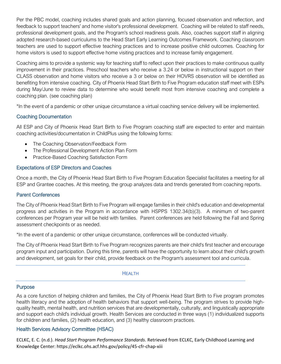Per the PBC model, coaching includes shared goals and action planning, focused observation and reflection, and feedback to support teachers' and home visitor's professional development. Coaching will be related to staff needs, professional development goals, and the Program's school readiness goals. Also, coaches support staff in aligning adopted research-based curriculums to the Head Start Early Learning Outcomes Framework. Coaching classroom teachers are used to support effective teaching practices and to increase positive child outcomes. Coaching for home visitors is used to support effective home visiting practices and to increase family engagement.

Coaching aims to provide a systemic way for teaching staff to reflect upon their practices to make continuous quality improvement in their practices. Preschool teachers who receive a 3.24 or below in instructional support on their CLASS observation and home visitors who receive a 3 or below on their HOVRS observation will be identified as benefiting from intensive coaching. City of Phoenix Head Start Birth to Five Program education staff meet with ESPs during May/June to review data to determine who would benefit most from intensive coaching and complete a coaching plan. (see coaching plan)

\*In the event of a pandemic or other unique circumstance a virtual coaching service delivery will be implemented.

# Coaching Documentation

All ESP and City of Phoenix Head Start Birth to Five Program coaching staff are expected to enter and maintain coaching activities/documentation in ChildPlus using the following forms:

- The Coaching Observation/Feedback Form
- The Professional Development Action Plan Form
- Practice-Based Coaching Satisfaction Form

# Expectations of ESP Directors and Coaches

Once a month, the City of Phoenix Head Start Birth to Five Program Education Specialist facilitates a meeting for all ESP and Grantee coaches. At this meeting, the group analyzes data and trends generated from coaching reports.

# Parent Conferences

The City of Phoenix Head Start Birth to Five Program will engage families in their child's education and developmental progress and activities in the Program in accordance with HSPPS 1302.34(b)(3). A minimum of two-parent conferences per Program year will be held with families. Parent conferences are held following the Fall and Spring assessment checkpoints or as needed.

\*In the event of a pandemic or other unique circumstance, conferences will be conducted virtually.

The City of Phoenix Head Start Birth to Five Program recognizes parents are their child's first teacher and encourage program input and participation. During this time, parents will have the opportunity to learn about their child's growth and development, set goals for their child, provide feedback on the Program's assessment tool and curricula.

## HEALTH

# **Purpose**

As a core function of helping children and families, the City of Phoenix Head Start Birth to Five program promotes health literacy and the adoption of health behaviors that support well-being. The program strives to provide highquality health, mental health, and nutrition services that are developmentally, culturally, and linguistically appropriate and support each child's individual growth. Health Services are conducted in three ways (1) individualized supports for children and families, (2) health education, and (3) healthy classroom practices.

# Health Services Advisory Committee (HSAC)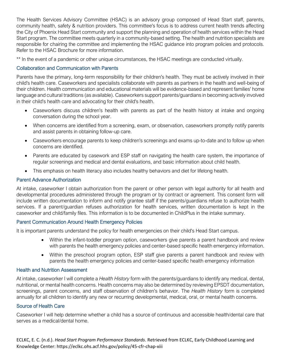The Health Services Advisory Committee (HSAC) is an advisory group composed of Head Start staff, parents, community health, safety & nutrition providers. This committee's focus is to address current health trends affecting the City of Phoenix Head Start community and support the planning and operation of health services within the Head Start program. The committee meets quarterly in a community-based setting. The health and nutrition specialists are responsible for chairing the committee and implementing the HSAC guidance into program policies and protocols. Refer to the HSAC Brochure for more information.

\*\* In the event of a pandemic or other unique circumstances, the HSAC meetings are conducted virtually.

# Collaboration and Communication with Parents

Parents have the primary, long-term responsibility for their children's health. They must be actively involved in their child's health care. Caseworkers and specialists collaborate with parents as partners in the health and well-being of their children. Health communication and educational materials will be evidence-based and represent families' home language and cultural traditions (as available). Caseworkers support parents/guardians in becoming actively involved in their child's health care and advocating for their child's health.

- Caseworkers discuss children's health with parents as part of the health history at intake and ongoing conversation during the school year.
- When concerns are identified from a screening, exam, or observation, caseworkers promptly notify parents and assist parents in obtaining follow-up care.
- Caseworkers encourage parents to keep children's screenings and exams up-to-date and to follow up when concerns are identified.
- Parents are educated by casework and ESP staff on navigating the health care system, the importance of regular screenings and medical and dental evaluations, and basic information about child health.
- This emphasis on health literacy also includes healthy behaviors and diet for lifelong health.

# Parent Advance Authorization

At intake, caseworker I obtain authorization from the parent or other person with legal authority for all health and developmental procedures administered through the program or by contract or agreement. This consent form will include written documentation to inform and notify grantee staff if the parents/guardians refuse to authorize health services. If a parent/guardian refuses authorization for health services, written documentation is kept in the caseworker and child/family files. This information is to be documented in ChildPlus in the intake summary.

# Parent Communication Around Health Emergency Policies

It is important parents understand the policy for health emergencies on their child's Head Start campus.

- Within the infant-toddler program option, caseworkers give parents a parent handbook and review with parents the health emergency policies and center-based specific health emergency information.
- Within the preschool program option, ESP staff give parents a parent handbook and review with parents the health emergency policies and center-based specific health emergency information

# Health and Nutrition Assessment

At intake, caseworker I will complete a *Health History* form with the parents/guardians to identify any medical, dental, nutritional, or mental health concerns. Health concerns may also be determined by reviewing EPSDT documentation, screenings, parent concerns, and staff observation of children's behavior. The *Health History* form is completed annually for all children to identify any new or recurring developmental, medical, oral, or mental health concerns.

# Source of Health Care

Caseworker I will help determine whether a child has a source of continuous and accessible health/dental care that serves as a medical/dental home.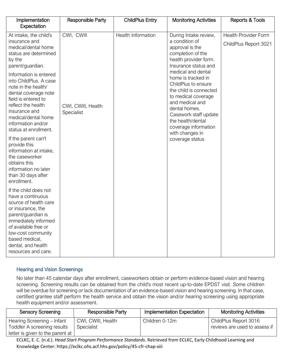| Implementation<br>Expectation                                                                                                                                                                                                                       | <b>Responsible Party</b>         | <b>ChildPlus Entry</b> | <b>Monitoring Activities</b>                                                                                                                                                                                            | Reports & Tools                                      |
|-----------------------------------------------------------------------------------------------------------------------------------------------------------------------------------------------------------------------------------------------------|----------------------------------|------------------------|-------------------------------------------------------------------------------------------------------------------------------------------------------------------------------------------------------------------------|------------------------------------------------------|
| At intake, the child's<br>insurance and<br>medical/dental home<br>status are determined<br>by the<br>parent/guardian.<br>Information is entered                                                                                                     | CWI, CWIII                       | Health Information     | During Intake review,<br>a condition of<br>approval is the<br>completion of the<br>health provider form.<br>Insurance status and<br>medical and dental                                                                  | <b>Health Provider Form</b><br>ChildPlus Report 3021 |
| into ChildPlus. A case<br>note in the health/<br>dental coverage note<br>field is entered to<br>reflect the health<br>insurance and<br>medical/dental home<br>information and/or<br>status at enrollment.                                           | CWI, CWIII, Health<br>Specialist |                        | home is tracked in<br>ChildPlus to ensure<br>the child is connected<br>to medical coverage<br>and medical and<br>dental homes.<br>Casework staff update<br>the health/dental<br>coverage information<br>with changes in |                                                      |
| If the parent can't<br>provide this<br>information at intake,<br>the caseworker<br>obtains this<br>information no later<br>than 30 days after<br>enrollment.                                                                                        |                                  |                        | coverage status                                                                                                                                                                                                         |                                                      |
| If the child does not<br>have a continuous<br>source of health care<br>or insurance, the<br>parent/guardian is<br>immediately informed<br>of available free or<br>low-cost community<br>based medical,<br>dental, and health<br>resources and care. |                                  |                        |                                                                                                                                                                                                                         |                                                      |

# Hearing and Vision Screenings

No later than 45 calendar days after enrollment, caseworkers obtain or perform evidence-based vision and hearing screening. Screening results can be obtained from the child's most recent up-to-date EPDST visit. Some children will be overdue for screening or lack documentation of an evidence-based vision and hearing screening. In that case, certified grantee staff perform the health service and obtain the vision and/or hearing screening using appropriate health equipment and/or assessment.

| <b>Sensory Screening</b>                                                                      | Responsible Party                | Implementation Expectation | <b>Monitoring Activities</b>                           |
|-----------------------------------------------------------------------------------------------|----------------------------------|----------------------------|--------------------------------------------------------|
| Hearing Screening - Infant<br>Toddler A screening results<br>letter is given to the parent at | CWI, CWIII, Health<br>Specialist | Children 0-12m             | ChildPlus Report 3016<br>reviews are used to assess if |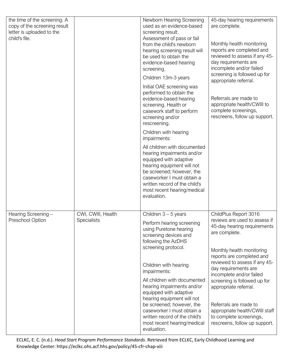| the time of the screening. A<br>copy of the screening result<br>letter is uploaded to the |                    | Newborn Hearing Screening<br>used as an evidence-based<br>screening result.                                                                                                                                                                                  | 45-day hearing requirements<br>are complete.                                                                                                |
|-------------------------------------------------------------------------------------------|--------------------|--------------------------------------------------------------------------------------------------------------------------------------------------------------------------------------------------------------------------------------------------------------|---------------------------------------------------------------------------------------------------------------------------------------------|
| child's file.                                                                             |                    | Assessment of pass or fail<br>from the child's newborn<br>hearing screening result will<br>be used to obtain the<br>evidence-based hearing<br>screening.                                                                                                     | Monthly health monitoring<br>reports are completed and<br>reviewed to assess if any 45-<br>day requirements are<br>incomplete and/or failed |
|                                                                                           |                    | Children 13m-3 years                                                                                                                                                                                                                                         | screening is followed up for<br>appropriate referral.                                                                                       |
|                                                                                           |                    | Initial OAE screening was<br>performed to obtain the<br>evidence-based hearing<br>screening. Health or<br>casework staff to perform<br>screening and/or<br>rescreening.                                                                                      | Referrals are made to<br>appropriate health/CWIII to<br>complete screenings,<br>rescreens, follow up support.                               |
|                                                                                           |                    | Children with hearing<br>impairments:                                                                                                                                                                                                                        |                                                                                                                                             |
|                                                                                           |                    | All children with documented<br>hearing impairments and/or<br>equipped with adaptive<br>hearing equipment will not<br>be screened; however, the<br>caseworker I must obtain a<br>written record of the child's<br>most recent hearing/medical<br>evaluation. |                                                                                                                                             |
| Hearing Screening -                                                                       | CWI, CWIII, Health | Children $3 - 5$ years                                                                                                                                                                                                                                       | ChildPlus Report 3016                                                                                                                       |
| <b>Preschool Option</b>                                                                   | Specialists        | Perform hearing screening<br>using Puretone hearing<br>screening devices and<br>following the AzDHS                                                                                                                                                          | reviews are used to assess if<br>45-day hearing requirements<br>are complete.                                                               |
|                                                                                           |                    | screening protocol.                                                                                                                                                                                                                                          | Monthly health monitoring<br>reports are completed and                                                                                      |
|                                                                                           |                    | Children with hearing<br>impairments:                                                                                                                                                                                                                        | reviewed to assess if any 45-<br>day requirements are                                                                                       |
|                                                                                           |                    | All children with documented<br>hearing impairments and/or<br>equipped with adaptive<br>hearing equipment will not                                                                                                                                           | incomplete and/or failed<br>screening is followed up for<br>appropriate referral.                                                           |
|                                                                                           |                    | be screened; however, the<br>caseworker I must obtain a<br>written record of the child's<br>most recent hearing/medical<br>evaluation.                                                                                                                       | Referrals are made to<br>appropriate health/CWIII staff<br>to complete screenings,<br>rescreens, follow up support.                         |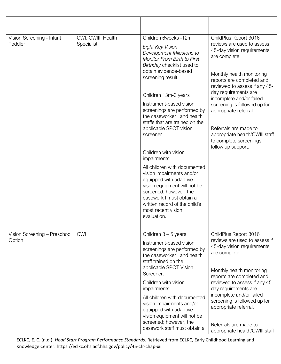| Vision Screening - Infant<br>Toddler   | CWI, CWIII, Health<br>Specialist | Children 6weeks -12m<br>Eight Key Vision<br>Development Milestone to<br>Monitor From Birth to First<br>Birthday checklist used to<br>obtain evidence-based<br>screening result.<br>Children 13m-3 years<br>Instrument-based vision<br>screenings are performed by<br>the caseworker I and health<br>staffs that are trained on the<br>applicable SPOT vision<br>screener<br>Children with vision<br>impairments:<br>All children with documented<br>vision impairments and/or<br>equipped with adaptive<br>vision equipment will not be<br>screened; however, the<br>casework I must obtain a<br>written record of the child's<br>most recent vision<br>evaluation. | ChildPlus Report 3016<br>reviews are used to assess if<br>45-day vision requirements<br>are complete.<br>Monthly health monitoring<br>reports are completed and<br>reviewed to assess if any 45-<br>day requirements are<br>incomplete and/or failed<br>screening is followed up for<br>appropriate referral.<br>Referrals are made to<br>appropriate health/CWIII staff<br>to complete screenings,<br>follow up support. |
|----------------------------------------|----------------------------------|---------------------------------------------------------------------------------------------------------------------------------------------------------------------------------------------------------------------------------------------------------------------------------------------------------------------------------------------------------------------------------------------------------------------------------------------------------------------------------------------------------------------------------------------------------------------------------------------------------------------------------------------------------------------|---------------------------------------------------------------------------------------------------------------------------------------------------------------------------------------------------------------------------------------------------------------------------------------------------------------------------------------------------------------------------------------------------------------------------|
| Vision Screening - Preschool<br>Option | <b>CWI</b>                       | Children $3 - 5$ years<br>Instrument-based vision<br>screenings are performed by<br>the caseworker I and health<br>staff trained on the<br>applicable SPOT Vision                                                                                                                                                                                                                                                                                                                                                                                                                                                                                                   | ChildPlus Report 3016<br>reviews are used to assess if<br>45-day vision requirements<br>are complete.                                                                                                                                                                                                                                                                                                                     |
|                                        |                                  | Screener.<br>Children with vision<br>impairments:                                                                                                                                                                                                                                                                                                                                                                                                                                                                                                                                                                                                                   | Monthly health monitoring<br>reports are completed and<br>reviewed to assess if any 45-<br>day requirements are                                                                                                                                                                                                                                                                                                           |
|                                        |                                  | All children with documented<br>vision impairments and/or<br>equipped with adaptive<br>vision equipment will not be                                                                                                                                                                                                                                                                                                                                                                                                                                                                                                                                                 | incomplete and/or failed<br>screening is followed up for<br>appropriate referral.                                                                                                                                                                                                                                                                                                                                         |
|                                        |                                  | screened; however, the<br>casework staff must obtain a                                                                                                                                                                                                                                                                                                                                                                                                                                                                                                                                                                                                              | Referrals are made to<br>appropriate health/CWIII staff                                                                                                                                                                                                                                                                                                                                                                   |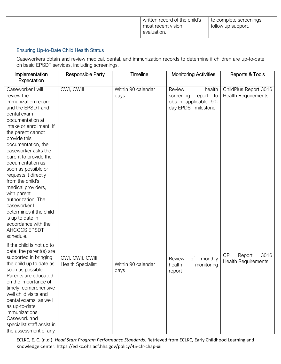|  | written record of the child's | to complete screenings, |
|--|-------------------------------|-------------------------|
|  | most recent vision            | follow up support.      |
|  | evaluation.                   |                         |
|  |                               |                         |

# Ensuring Up-to-Date Child Health Status

Caseworkers obtain and review medical, dental, and immunization records to determine if children are up-to-date on basic EPSDT services, including screenings.

| Implementation<br>Expectation                                                                                                                                                                                                                                                                                                                                                                                                                                                                                              | Responsible Party                            | <b>Timeline</b>            | <b>Monitoring Activities</b>                                                               | Reports & Tools                                     |
|----------------------------------------------------------------------------------------------------------------------------------------------------------------------------------------------------------------------------------------------------------------------------------------------------------------------------------------------------------------------------------------------------------------------------------------------------------------------------------------------------------------------------|----------------------------------------------|----------------------------|--------------------------------------------------------------------------------------------|-----------------------------------------------------|
| Caseworker I will<br>review the<br>immunization record<br>and the EPSDT and<br>dental exam<br>documentation at<br>intake or enrollment. If<br>the parent cannot<br>provide this<br>documentation, the<br>caseworker asks the<br>parent to provide the<br>documentation as<br>soon as possible or<br>requests it directly<br>from the child's<br>medical providers,<br>with parent<br>authorization. The<br>caseworker I<br>determines if the child<br>is up to date in<br>accordance with the<br>AHCCCS EPSDT<br>schedule. | CWI, CWIII                                   | Within 90 calendar<br>days | Review<br>health<br>report to<br>screening<br>obtain applicable 90-<br>day EPDST milestone | ChildPlus Report 3016<br><b>Health Requirements</b> |
| If the child is not up to<br>date, the parent(s) are<br>supported in bringing<br>the child up to date as<br>soon as possible.<br>Parents are educated<br>on the importance of<br>timely, comprehensive<br>well child visits and<br>dental exams, as well<br>as up-to-date<br>immunizations.<br>Casework and<br>specialist staff assist in<br>the assessment of any                                                                                                                                                         | CWI, CWII, CWIII<br><b>Health Specialist</b> | Within 90 calendar<br>days | Review<br>Οf<br>monthly<br>health<br>monitoring<br>report                                  | CP<br>3016<br>Report<br><b>Health Requirements</b>  |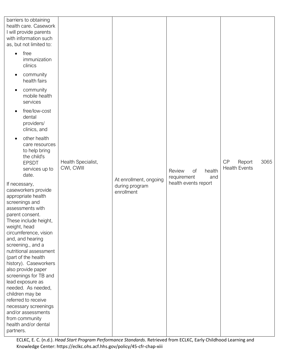| barriers to obtaining<br>health care. Casework<br>I will provide parents<br>with information such<br>as, but not limited to:                                                                                                                                                                                                                                                                                                                                                                                                                     |                                  |                                                        |                                              |                                              |
|--------------------------------------------------------------------------------------------------------------------------------------------------------------------------------------------------------------------------------------------------------------------------------------------------------------------------------------------------------------------------------------------------------------------------------------------------------------------------------------------------------------------------------------------------|----------------------------------|--------------------------------------------------------|----------------------------------------------|----------------------------------------------|
| free<br>$\bullet$<br>immunization<br>clinics                                                                                                                                                                                                                                                                                                                                                                                                                                                                                                     |                                  |                                                        |                                              |                                              |
| community<br>health fairs                                                                                                                                                                                                                                                                                                                                                                                                                                                                                                                        |                                  |                                                        |                                              |                                              |
| community<br>mobile health<br>services                                                                                                                                                                                                                                                                                                                                                                                                                                                                                                           |                                  |                                                        |                                              |                                              |
| free/low-cost<br>dental<br>providers/<br>clinics, and                                                                                                                                                                                                                                                                                                                                                                                                                                                                                            |                                  |                                                        |                                              |                                              |
| other health<br>care resources<br>to help bring<br>the child's<br><b>EPSDT</b><br>services up to<br>date.                                                                                                                                                                                                                                                                                                                                                                                                                                        | Health Specialist,<br>CWI, CWIII |                                                        | Review<br>of<br>health<br>requirement<br>and | CP<br>3065<br>Report<br><b>Health Events</b> |
| If necessary,<br>caseworkers provide<br>appropriate health<br>screenings and<br>assessments with<br>parent consent.<br>These include height,<br>weight, head<br>circumference, vision<br>and, and hearing<br>screening., and a<br>nutritional assessment<br>(part of the health<br>history). Caseworkers<br>also provide paper<br>screenings for TB and<br>lead exposure as<br>needed. As needed,<br>children may be<br>referred to receive<br>necessary screenings<br>and/or assessments<br>from community<br>health and/or dental<br>partners. |                                  | At enrollment, ongoing<br>during program<br>enrollment | health events report                         |                                              |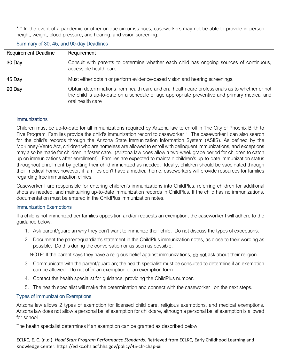\* \* In the event of a pandemic or other unique circumstances, caseworkers may not be able to provide in-person height, weight, blood pressure, and hearing, and vision screening.

## Summary of 30, 45, and 90-day Deadlines

| <b>Requirement Deadline</b> | Requirement                                                                                                                                                                                                       |
|-----------------------------|-------------------------------------------------------------------------------------------------------------------------------------------------------------------------------------------------------------------|
| 30 Day                      | Consult with parents to determine whether each child has ongoing sources of continuous,<br>accessible health care.                                                                                                |
| 45 Day                      | Must either obtain or perform evidence-based vision and hearing screenings.                                                                                                                                       |
| 90 Day                      | Obtain determinations from health care and oral health care professionals as to whether or not<br>the child is up-to-date on a schedule of age appropriate preventive and primary medical and<br>oral health care |

## **Immunizations**

Children must be up-to-date for all immunizations required by Arizona law to enroll in The City of Phoenix Birth to Five Program. Families provide the child's immunization record to caseworker 1. The caseworker I can also search for the child's records through the Arizona State Immunization Information System (ASIIS). As defined by the McKinney-Vento Act, children who are homeless are allowed to enroll with delinquent immunizations, and exceptions may also be made for children in foster care. (Arizona law does allow a two-week grace period for children to catch up on immunizations after enrollment). Families are expected to maintain children's up-to-date immunization status throughout enrollment by getting their child immunized as needed. Ideally, children should be vaccinated through their medical home; however, if families don't have a medical home, caseworkers will provide resources for families regarding free immunization clinics.

Caseworker I are responsible for entering children's immunizations into ChildPlus, referring children for additional shots as needed, and maintaining up-to-date immunization records in ChildPlus. If the child has no immunizations, documentation must be entered in the ChildPlus immunization notes.

#### Immunization Exemptions

If a child is not immunized per families opposition and/or requests an exemption, the caseworker I will adhere to the guidance below:

- 1. Ask parent/guardian why they don't want to immunize their child. Do not discuss the types of exceptions.
- 2. Document the parent/guardian's statement in the ChildPlus immunization notes, as close to their wording as possible. Do this during the conversation or as soon as possible.

NOTE: If the parent says they have a religious belief against immunizations, **do not** ask about their religion.

- 3. Communicate with the parent/guardian; the health specialist must be consulted to determine if an exemption can be allowed. Do not offer an exemption or an exemption form.
- 4. Contact the health specialist for guidance, providing the ChildPlus number.
- 5. The health specialist will make the determination and connect with the caseworker I on the next steps.

## Types of Immunization Exemptions

Arizona law allows 2 types of exemption for licensed child care, religious exemptions, and medical exemptions. Arizona law does not allow a personal belief exemption for childcare, although a personal belief exemption is allowed for school.

The health specialist determines if an exemption can be granted as described below: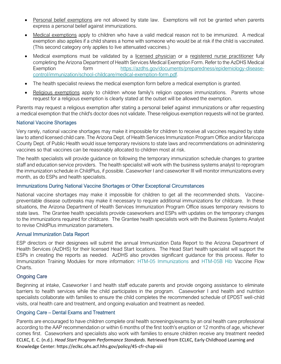- Personal belief exemptions are not allowed by state law. Exemptions will not be granted when parents express a personal belief against immunizations.
- Medical exemptions apply to children who have a valid medical reason not to be immunized. A medical exemption also applies if a child shares a home with someone who would be at risk if the child is vaccinated. (This second category only applies to live attenuated vaccines.)
- Medical exemptions must be validated by a licensed physician or a registered nurse practitioner fully completing the Arizona Department of Health Services Medical Exemption Form. Refer to the AzDHS Medical Exemption form [https://azdhs.gov/documents/preparedness/epidemiology-disease](https://azdhs.gov/documents/preparedness/epidemiology-disease-control/immunization/school-childcare/medical-exemption-form.pdf)[control/immunization/school-childcare/medical-exemption-form.pdf.](https://azdhs.gov/documents/preparedness/epidemiology-disease-control/immunization/school-childcare/medical-exemption-form.pdf)
- The health specialist reviews the medical exemption form before a medical exemption is granted.
- Religious exemptions apply to children whose family's religion opposes immunizations. Parents whose request for a religious exemption is clearly stated at the outset will be allowed the exemption.

Parents may request a religious exemption after stating a personal belief against immunizations or after requesting a medical exemption that the child's doctor does not validate. These religious exemption requests will not be granted.

## National Vaccine Shortages

Very rarely, national vaccine shortages may make it impossible for children to receive all vaccines required by state law to attend licensed child care. The Arizona Dept. of Health Services Immunization Program Office and/or Maricopa County Dept. of Public Health would issue temporary revisions to state laws and recommendations on administering vaccines so that vaccines can be reasonably allocated to children most at risk.

The health specialists will provide guidance on following the temporary immunization schedule changes to grantee staff and education service providers. The health specialist will work with the business systems analyst to reprogram the immunization schedule in ChildPlus, if possible. Caseworker I and caseworker III will monitor immunizations every month, as do ESPs and health specialists.

## Immunizations During National Vaccine Shortages or Other Exceptional Circumstances

National vaccine shortages may make it impossible for children to get all the recommended shots. Vaccinepreventable disease outbreaks may make it necessary to require additional immunizations for childcare. In these situations, the Arizona Department of Health Services Immunization Program Office issues temporary revisions to state laws. The Grantee health specialists provide caseworkers and ESPs with updates on the temporary changes to the immunizations required for childcare. The Grantee health specialists work with the Business Systems Analyst to revise ChildPlus immunization parameters.

## Annual Immunization Data Report

ESP directors or their designees will submit the annual Immunization Data Report to the Arizona Department of Health Services (AzDHS) for their licensed Head Start locations. The Head Start health specialist will support the ESPs in creating the reports as needed. AzDHS also provides significant guidance for this process. Refer to Immunization Training Modules for more information: [HTM-05 Immunizations](https://www.phoenix.gov/humanservicessite/Documents/Head%20Start%20Immunizations%20Final.pdf) and [HTM-05B Hib](https://www.phoenix.gov/humanservicessite/Documents/Head%20Start%20Immunizations-Hib%20Vaccine%20Flow%20Charts.pdf) Vaccine Flow Charts.

## Ongoing Care

Beginning at intake, Caseworker I and health staff educate parents and provide ongoing assistance to eliminate barriers to health services while the child participates in the program. Caseworker I and health and nutrition specialists collaborate with families to ensure the child completes the recommended schedule of EPDST well-child visits, oral health care and treatment, and ongoing evaluation and treatment as needed.

## Ongoing Care – Dental Exams and Treatment

ECLKC, E. C. (n.d.). *Head Start Program Performance Standards*. Retrieved from ECLKC, Early Childhood Learning and Knowledge Center: https://eclkc.ohs.acf.hhs.gov/policy/45-cfr-chap-xiii Parents are encouraged to have children complete oral health screenings/exams by an oral health care professional according to the AAP recommendation or within 6 months of the first tooth's eruption or 12 months of age, whichever comes first. Caseworkers and specialists also work with families to ensure children receive any treatment needed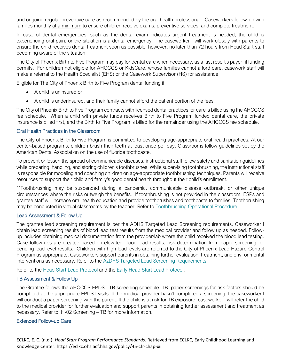and ongoing regular preventive care as recommended by the oral health professional. Caseworkers follow-up with families monthly at a minimum to ensure children receive exams, preventive services, and complete treatment.

In case of dental emergencies, such as the dental exam indicates urgent treatment is needed, the child is experiencing oral pain, or the situation is a dental emergency. The caseworker I will work closely with parents to ensure the child receives dental treatment soon as possible; however, no later than 72 hours from Head Start staff becoming aware of the situation.

The City of Phoenix Birth to Five Program may pay for dental care when necessary, as a last resort's payer, if funding permits. For children not eligible for AHCCCS or KidsCare, whose families cannot afford care, casework staff will make a referral to the Health Specialist (EHS) or the Casework Supervisor (HS) for assistance.

Eligible for The City of Phoenix Birth to Five Program dental funding if:

- A child is uninsured or
- A child is underinsured, and their family cannot afford the patient portion of the fees.

The City of Phoenix Birth to Five Program contracts with licensed dental practices for care is billed using the AHCCCS fee schedule. When a child with private funds receives Birth to Five Program funded dental care, the private insurance is billed first, and the Birth to Five Program is billed for the remainder using the AHCCCS fee schedule.

## Oral Health Practices in the Classroom

The City of Phoenix Birth to Five Program is committed to developing age-appropriate oral health practices. At our center-based programs, children brush their teeth at least once per day. Classrooms follow guidelines set by the American Dental Association on the use of fluoride toothpaste.

To prevent or lessen the spread of communicable diseases, instructional staff follow safety and sanitation guidelines while preparing, handling, and storing children's toothbrushes. While supervising toothbrushing, the instructional staff is responsible for modeling and coaching children on age-appropriate toothbrushing techniques. Parents will receive resources to support their child and family's good dental health throughout their child's enrollment.

\*\*Toothbrushing may be suspended during a pandemic, communicable disease outbreak, or other unique circumstances where the risks outweigh the benefits. If toothbrushing is not provided in the classroom, ESPs and grantee staff will increase oral health education and provide toothbrushes and toothpaste to families. Toothbrushing may be conducted in virtual classrooms by the teacher. Refer to [Toothbrushing Operational Procedure.](https://www.phoenix.gov/humanservicessite/Documents/Head%20Start%20Toothbrushing%20Operational%20Procedure.pdf)

## Lead Assessment & Follow Up

The grantee lead screening requirement is per the ADHS Targeted Lead Screening requirements. Caseworker I obtain lead screening results of blood lead test results from the medical provider and follow up as needed. Followup includes obtaining medical documentation from the provider/lab where the child received the blood lead testing. Case follow-ups are created based on elevated blood lead results, risk determination from paper screening, or pending lead level results. Children with high lead levels are referred to the City of Phoenix Lead Hazard Control Program as appropriate. Caseworkers support parents in obtaining further evaluation, treatment, and environmental interventions as necessary. Refer to the [AzDHS Targeted Lead Screening Requirements.](https://www.azdhs.gov/documents/preparedness/epidemiology-disease-control/lead-poisoning/2018-targeted-lead-screening-plan.pdf)

Refer to the [Head Start Lead Protocol](https://www.phoenix.gov/humanservicessite/Documents/Head%20Start%20Lead%20Protocol.pdf) and the [Early Head Start Lead Protocol.](https://www.phoenix.gov/humanservicessite/Documents/Early%20Head%20Start%20Lead%20Protocol%20FINAL.pdf)

# TB Assessment & Follow Up

The Grantee follows the AHCCCS EPDST TB screening schedule. TB paper screenings for risk factors should be completed at the appropriate EPDST visits. If the medical provider hasn't completed a screening, the caseworker I will conduct a paper screening with the parent. If the child is at risk for TB exposure, caseworker I will refer the child to the medical provider for further evaluation and support parents in obtaining further assessment and treatment as necessary. Refer to H-02 Screening – TB for more information.

## Extended Follow-up Care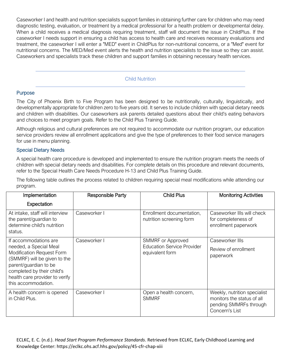Caseworker I and health and nutrition specialists support families in obtaining further care for children who may need diagnostic testing, evaluation, or treatment by a medical professional for a health problem or developmental delay. When a child receives a medical diagnosis requiring treatment, staff will document the issue in ChildPlus. If the caseworker I needs support in ensuring a child has access to health care and receives necessary evaluations and treatment, the caseworker I will enter a "MED" event in ChildPlus for non-nutritional concerns, or a "Med" event for nutritional concerns. The MED/Med event alerts the health and nutrition specialists to the issue so they can assist. Caseworkers and specialists track these children and support families in obtaining necessary health services.

## Child Nutrition

# **Purpose**

The City of Phoenix Birth to Five Program has been designed to be nutritionally, culturally, linguistically, and developmentally appropriate for children zero to five years old. It serves to include children with special dietary needs and children with disabilities. Our caseworkers ask parents detailed questions about their child's eating behaviors and choices to meet program goals. Refer to the Child Plus Training Guide.

Although religious and cultural preferences are not required to accommodate our nutrition program, our education service providers review all enrollment applications and give the type of preferences to their food service managers for use in menu planning.

## Special Dietary Needs

A special health care procedure is developed and implemented to ensure the nutrition program meets the needs of children with special dietary needs and disabilities. For complete details on this procedure and relevant documents, refer to the Special Health Care Needs Procedure H-13 and Child Plus Training Guide.

The following table outlines the process related to children requiring special meal modifications while attending our program.

| Implementation                                                                                                                                                                                             | <b>Responsible Party</b> | <b>Child Plus</b>                                     | <b>Monitoring Activities</b>                                                                           |
|------------------------------------------------------------------------------------------------------------------------------------------------------------------------------------------------------------|--------------------------|-------------------------------------------------------|--------------------------------------------------------------------------------------------------------|
| Expectation                                                                                                                                                                                                |                          |                                                       |                                                                                                        |
| At intake, staff will interview<br>the parent/guardian to<br>determine child's nutrition<br>status.                                                                                                        | Caseworker I             | Enrollment documentation,<br>nutrition screening form | Caseworker IIIs will check<br>for completeness of<br>enrollment paperwork                              |
| If accommodations are                                                                                                                                                                                      | Caseworker I             | SMMRF or Approved                                     | Caseworker IIIs                                                                                        |
| needed, a Special Meal<br><b>Modification Request Form</b><br>(SMMRF) will be given to the<br>parent/guardian to be<br>completed by their child's<br>health care provider to verify<br>this accommodation. |                          | <b>Education Service Provider</b><br>equivalent form  | Review of enrollment<br>paperwork                                                                      |
| A health concern is opened<br>in Child Plus.                                                                                                                                                               | Caseworker I             | Open a health concern,<br><b>SMMRF</b>                | Weekly, nutrition specialist<br>monitors the status of all<br>pending SMMRFs through<br>Concern's List |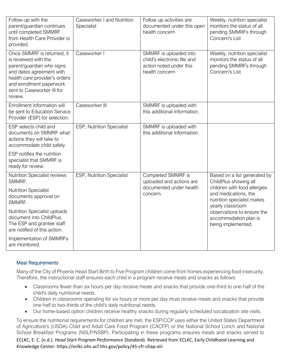| Follow-up with the<br>parent/guardian continues<br>until completed SMMRF<br>from Health Care Provider is<br>provided.                                                                                             | Caseworker I and Nutrition<br>Specialist | Follow up activities are<br>documented under this open<br>health concern                           | Weekly, nutrition specialist<br>monitors the status of all<br>pending SMMRFs through<br>Concern's List |
|-------------------------------------------------------------------------------------------------------------------------------------------------------------------------------------------------------------------|------------------------------------------|----------------------------------------------------------------------------------------------------|--------------------------------------------------------------------------------------------------------|
| Once SMMRF is returned, it<br>is reviewed with the<br>parent/guardian who signs<br>and dates agreement with<br>health care provider's orders<br>and enrollment paperwork<br>sent to Caseworker III for<br>review. | Caseworker I                             | SMMRF is uploaded into<br>child's electronic file and<br>action noted under this<br>health concern | Weekly, nutrition specialist<br>monitors the status of all<br>pending SMMRFs through<br>Concern's List |
| Enrollment information will<br>be sent to Education Service<br>Provider (ESP) for selection.                                                                                                                      | Caseworker III                           | SMMRF is uploaded with<br>this additional information.                                             |                                                                                                        |
| ESP selects child and<br>documents on SMMRF what<br>actions they will take to<br>accommodate child safely.                                                                                                        | ESP, Nutrition Specialist                | SMMRF is uploaded with<br>this additional information.                                             |                                                                                                        |
| ESP notifies the nutrition<br>specialist that SMMRF is<br>ready for review.                                                                                                                                       |                                          |                                                                                                    |                                                                                                        |
| Nutrition Specialist reviews<br>SMMRF.                                                                                                                                                                            | ESP, Nutrition Specialist                | Completed SMMRF is<br>uploaded and actions are                                                     | Based on a list generated by<br>ChildPlus showing all                                                  |
| <b>Nutrition Specialist</b><br>documents approval on<br>SMMRF.                                                                                                                                                    |                                          | documented under health<br>concern.                                                                | children with food allergies<br>and medications, the<br>nutrition specialist makes<br>yearly classroom |
| <b>Nutrition Specialist uploads</b><br>document into ChildPlus.<br>The ESP and grantee staff<br>are notified of this action.                                                                                      |                                          |                                                                                                    | observations to ensure the<br>accommodation plan is<br>being implemented.                              |
| Implementation of SMMRFs<br>are monitored.                                                                                                                                                                        |                                          |                                                                                                    |                                                                                                        |

# Meal Requirements

Many of the City of Phoenix Head Start Birth to Five Program children come from homes experiencing food insecurity. Therefore, the instructional staff ensures each child in a program receive meals and snacks as follows:

- Classrooms fewer than six hours per day receive meals and snacks that provide one-third to one-half of the child's daily nutritional needs.
- Children in classrooms operating for six hours or more per day must receive meals and snacks that provide one-half to two-thirds of the child's daily nutritional needs.
- Our home-based option children receive healthy snacks during regularly scheduled socialization site visits.

To ensure the nutritional requirements for children are met, the ESP/CCP uses either the United States Department of Agriculture's (USDA) Child and Adult Care Food Program (CACFP) or the National School Lunch and National School Breakfast Programs (NSLP/NSBP). Participating in these programs ensures meals and snacks served to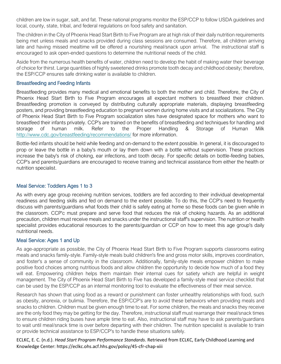children are low in sugar, salt, and fat. These national programs monitor the ESP/CCP to follow USDA guidelines and local, county, state, tribal, and federal regulations on food safety and sanitation.

The children in the City of Phoenix Head Start Birth to Five Program are at high risk of their daily nutrition requirements being met unless meals and snacks provided during class sessions are consumed. Therefore, all children arriving late and having missed mealtime will be offered a nourishing meal/snack upon arrival. The instructional staff is encouraged to ask open-ended questions to determine the nutritional needs of the child.

Aside from the numerous health benefits of water, children need to develop the habit of making water their beverage of choice for thirst. Large quantities of highly sweetened drinks promote tooth decay and childhood obesity; therefore, the ESP/CCP ensures safe drinking water is available to children.

## Breastfeeding and Feeding Infants

Breastfeeding provides many medical and emotional benefits to both the mother and child. Therefore, the City of Phoenix Head Start Birth to Five Program encourages all expectant mothers to breastfeed their children. Breastfeeding promotion is conveyed by distributing culturally appropriate materials, displaying breastfeeding posters, and providing breastfeeding education to pregnant women during home visits and at socializations. The City of Phoenix Head Start Birth to Five Program socialization sites have designated space for mothers who want to breastfeed their infants privately. CCP's are trained on the benefits of breastfeeding and techniques for handling and storage of human milk. Refer to the Proper Handling & Storage of Human Milk <http://www.cdc.gov/breastfeeding/recommendations/> for more information.

Bottle-fed infants should be held while feeding and on-demand to the extent possible. In general, it is discouraged to prop or leave the bottle in a baby's mouth or lay them down with a bottle without supervision. These practices increase the baby's risk of choking, ear infections, and tooth decay. For specific details on bottle-feeding babies, CCP's and parents/guardians are encouraged to receive training and technical assistance from either the health or nutrition specialist.

## Meal Service: Toddlers Ages 1 to 3

As with every age group receiving nutrition services, toddlers are fed according to their individual developmental readiness and feeding skills and fed on demand to the extent possible. To do this, the CCP's need to frequently discuss with parents/guardians what foods their child is safely eating at home so these foods can be given while in the classroom. CCP'c must prepare and serve food that reduces the risk of choking hazards. As an additional precaution, children must receive meals and snacks under the instructional staff's supervision. The nutrition or health specialist provides educational resources to the parents/guardian or CCP on how to meet this age group's daily nutritional needs.

## Meal Service: Ages 1 and Up

As age-appropriate as possible, the City of Phoenix Head Start Birth to Five Program supports classrooms eating meals and snacks family-style. Family-style meals build children's fine and gross motor skills, improves coordination, and foster's a sense of community in the classroom. Additionally, family-style meals empower children to make positive food choices among nutritious foods and allow children the opportunity to decide how much of a food they will eat. Empowering children helps them maintain their internal cues for satiety which are helpful in weight management. The City of Phoenix Head Start Birth to Five has developed a family-style meal service checklist that can be used by the ESP/CCP as an internal monitoring tool to evaluate the effectiveness of their meal service.

Research has shown that using food as a reward or punishment can foster unhealthy relationships with food, such as obesity, anorexia, or bulimia. Therefore, the ESP/CCP's are to avoid these behaviors when providing meals and snacks to children. Children must be given enough time to eat. For some children, the meals and snacks they receive are the only food they may be getting for the day. Therefore, instructional staff must rearrange their meal/snack times to ensure children riding buses have ample time to eat. Also, instructional staff may have to ask parents/guardians to wait until meal/snack time is over before departing with their children. The nutrition specialist is available to train or provide technical assistance to ESP/CCP's to handle these situations safely.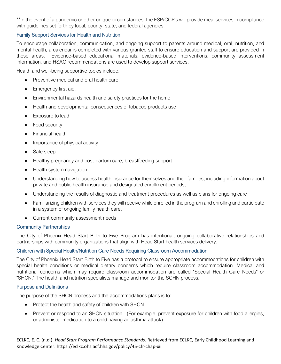\*\*In the event of a pandemic or other unique circumstances, the ESP/CCP's will provide meal services in compliance with guidelines set forth by local, county, state, and federal agencies.

# Family Support Services for Health and Nutrition

To encourage collaboration, communication, and ongoing support to parents around medical, oral, nutrition, and mental health, a calendar is completed with various grantee staff to ensure education and support are provided in these areas. Evidence-based educational materials, evidence-based interventions, community assessment information, and HSAC recommendations are used to develop support services.

Health and well-being supportive topics include:

- Preventive medical and oral health care,
- Emergency first aid,
- Environmental hazards health and safety practices for the home
- Health and developmental consequences of tobacco products use
- Exposure to lead
- Food security
- Financial health
- Importance of physical activity
- Safe sleep
- Healthy pregnancy and post-partum care; breastfeeding support
- Health system navigation
- Understanding how to access health insurance for themselves and their families, including information about private and public health insurance and designated enrollment periods;
- Understanding the results of diagnostic and treatment procedures as well as plans for ongoing care
- Familiarizing children with services they will receive while enrolled in the program and enrolling and participate in a system of ongoing family health care.
- Current community assessment needs

# Community Partnerships

The City of Phoenix Head Start Birth to Five Program has intentional, ongoing collaborative relationships and partnerships with community organizations that align with Head Start health services delivery.

# Children with Special Health/Nutrition Care Needs Requiring Classroom Accommodation

The City of Phoenix Head Start Birth to Five has a protocol to ensure appropriate accommodations for children with special health conditions or medical dietary concerns which require classroom accommodation. Medical and nutritional concerns which may require classroom accommodation are called "Special Health Care Needs" or "SHCN." The health and nutrition specialists manage and monitor the SCHN process.

# Purpose and Definitions

The purpose of the SHCN process and the accommodations plans is to:

- Protect the health and safety of children with SHCN.
- Prevent or respond to an SHCN situation. (For example, prevent exposure for children with food allergies, or administer medication to a child having an asthma attack).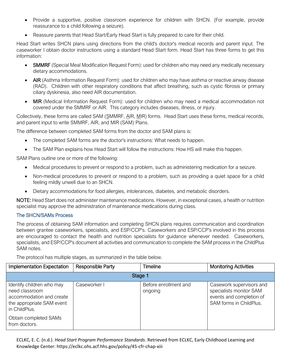- Provide a supportive, positive classroom experience for children with SHCN. (For example, provide reassurance to a child following a seizure).
- Reassure parents that Head Start/Early Head Start is fully prepared to care for their child.

Head Start writes SHCN plans using directions from the child's doctor's medical records and parent input. The caseworker I obtain doctor instructions using a standard Head Start form. Head Start has three forms to get this information:

- SMMRF (Special Meal Modification Request Form): used for children who may need any medically necessary dietary accommodations.
- AIR (Asthma Information Request Form): used for children who may have asthma or reactive airway disease (RAD). Children with other respiratory conditions that affect breathing, such as cystic fibrosis or primary ciliary dyskinesia, also need AIR documentation.
- MIR (Medical Information Request Form): used for children who may need a medical accommodation not covered under the SMMRF or AIR. This category includes diseases, illness, or injury.

Collectively, these forms are called SAM (SMMRF, AIR, MIR) forms. Head Start uses these forms, medical records, and parent input to write SMMRF, AIR, and MIR (SAM) Plans.

The difference between completed SAM forms from the doctor and SAM plans is:

- The completed SAM forms are the doctor's instructions: What needs to happen.
- The SAM Plan explains how Head Start will follow the instructions: How HS will make this happen.

SAM Plans outline one or more of the following:

- Medical procedures to prevent or respond to a problem, such as administering medication for a seizure.
- Non-medical procedures to prevent or respond to a problem, such as providing a quiet space for a child feeling mildly unwell due to an SHCN.
- Dietary accommodations for food allergies, intolerances, diabetes, and metabolic disorders.

NOTE: Head Start does not administer maintenance medications. However, in exceptional cases, a health or nutrition specialist may approve the administration of maintenance medications during class.

# The SHCN/SAMs Process

The process of obtaining SAM information and completing SHCN plans requires communication and coordination between grantee caseworkers, specialists, and ESP/CCP's. Caseworkers and ESP/CCP's involved in this process are encouraged to contact the health and nutrition specialists for guidance whenever needed. Caseworkers, specialists, and ESP/CCP's document all activities and communication to complete the SAM process in the ChildPlus SAM notes.

The protocol has multiple stages, as summarized in the table below.

| Implementation Expectation                                                                                            | Responsible Party | <b>Timeline</b>                  | <b>Monitoring Activities</b>                                                                               |  |
|-----------------------------------------------------------------------------------------------------------------------|-------------------|----------------------------------|------------------------------------------------------------------------------------------------------------|--|
| Stage 1                                                                                                               |                   |                                  |                                                                                                            |  |
| Identify children who may<br>need classroom<br>accommodation and create<br>the appropriate SAM event<br>in ChildPlus. | Caseworker I      | Before enrollment and<br>ongoing | Casework supervisors and<br>specialists monitor SAM<br>events and completion of<br>SAM forms in ChildPlus. |  |
| Obtain completed SAMs<br>from doctors.                                                                                |                   |                                  |                                                                                                            |  |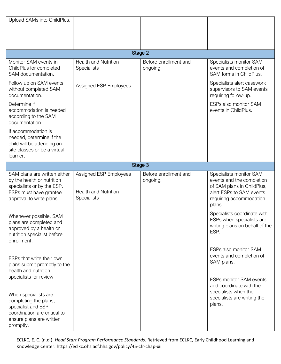| Upload SAMs into ChildPlus.                                                                                                                                             |                                                                      |                                   |                                                                                                                                                     |
|-------------------------------------------------------------------------------------------------------------------------------------------------------------------------|----------------------------------------------------------------------|-----------------------------------|-----------------------------------------------------------------------------------------------------------------------------------------------------|
|                                                                                                                                                                         |                                                                      | Stage 2                           |                                                                                                                                                     |
| Monitor SAM events in<br>ChildPlus for completed<br>SAM documentation.                                                                                                  | <b>Health and Nutrition</b><br>Specialists                           | Before enrollment and<br>ongoing  | Specialists monitor SAM<br>events and completion of<br>SAM forms in ChildPlus.                                                                      |
| Follow up on SAM events<br>without completed SAM<br>documentation.                                                                                                      | Assigned ESP Employees                                               |                                   | Specialists alert casework<br>supervisors to SAM events<br>requiring follow-up.                                                                     |
| Determine if<br>accommodation is needed<br>according to the SAM<br>documentation.                                                                                       |                                                                      |                                   | ESPs also monitor SAM<br>events in ChildPlus.                                                                                                       |
| If accommodation is<br>needed, determine if the<br>child will be attending on-<br>site classes or be a virtual<br>learner.                                              |                                                                      |                                   |                                                                                                                                                     |
|                                                                                                                                                                         |                                                                      | Stage 3                           |                                                                                                                                                     |
| SAM plans are written either<br>by the health or nutrition<br>specialists or by the ESP.<br>ESPs must have grantee<br>approval to write plans.                          | Assigned ESP Employees<br><b>Health and Nutrition</b><br>Specialists | Before enrollment and<br>ongoing. | Specialists monitor SAM<br>events and the completion<br>of SAM plans in ChildPlus,<br>alert ESPs to SAM events<br>requiring accommodation<br>plans. |
| Whenever possible, SAM<br>plans are completed and<br>approved by a health or<br>nutrition specialist before<br>enrollment.                                              |                                                                      |                                   | Specialists coordinate with<br>ESPs when specialists are<br>writing plans on behalf of the<br>ESP.                                                  |
| ESPs that write their own<br>plans submit promptly to the<br>health and nutrition                                                                                       |                                                                      |                                   | ESPs also monitor SAM<br>events and completion of<br>SAM plans.                                                                                     |
| specialists for review.<br>When specialists are<br>completing the plans,<br>specialist and ESP<br>coordination are critical to<br>ensure plans are written<br>promptly. |                                                                      |                                   | <b>ESPs monitor SAM events</b><br>and coordinate with the<br>specialists when the<br>specialists are writing the<br>plans.                          |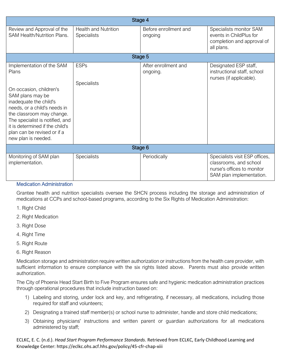| Stage 4                                                                                                                                                                                                                                                                                              |                                                   |                                  |                                                                                                                    |
|------------------------------------------------------------------------------------------------------------------------------------------------------------------------------------------------------------------------------------------------------------------------------------------------------|---------------------------------------------------|----------------------------------|--------------------------------------------------------------------------------------------------------------------|
| Review and Approval of the<br>SAM Health/Nutrition Plans.                                                                                                                                                                                                                                            | <b>Health and Nutrition</b><br><b>Specialists</b> | Before enrollment and<br>ongoing | Specialists monitor SAM<br>events in ChildPlus for<br>completion and approval of<br>all plans.                     |
|                                                                                                                                                                                                                                                                                                      |                                                   | Stage 5                          |                                                                                                                    |
| Implementation of the SAM<br>Plans<br>On occasion, children's<br>SAM plans may be<br>inadequate the child's<br>needs, or a child's needs in<br>the classroom may change.<br>The specialist is notified, and<br>it is determined if the child's<br>plan can be revised or if a<br>new plan is needed. | <b>ESPs</b><br>Specialists                        | After enrollment and<br>ongoing. | Designated ESP staff,<br>instructional staff, school<br>nurses (if applicable).                                    |
| Stage 6                                                                                                                                                                                                                                                                                              |                                                   |                                  |                                                                                                                    |
| Monitoring of SAM plan<br>implementation.                                                                                                                                                                                                                                                            | Specialists                                       | Periodically                     | Specialists visit ESP offices,<br>classrooms, and school<br>nurse's offices to monitor<br>SAM plan implementation. |

## Medication Administration

Grantee health and nutrition specialists oversee the SHCN process including the storage and administration of medications at CCPs and school-based programs, according to the Six Rights of Medication Administration:

- 1. Right Child
- 2. Right Medication
- 3. Right Dose
- 4. Right Time
- 5. Right Route
- 6. Right Reason

Medication storage and administration require written authorization or instructions from the health care provider, with sufficient information to ensure compliance with the six rights listed above. Parents must also provide written authorization.

The City of Phoenix Head Start Birth to Five Program ensures safe and hygienic medication administration practices through operational procedures that include instruction based on:

- 1) Labeling and storing, under lock and key, and refrigerating, if necessary, all medications, including those required for staff and volunteers;
- 2) Designating a trained staff member(s) or school nurse to administer, handle and store child medications;
- 3) Obtaining physicians' instructions and written parent or guardian authorizations for all medications administered by staff;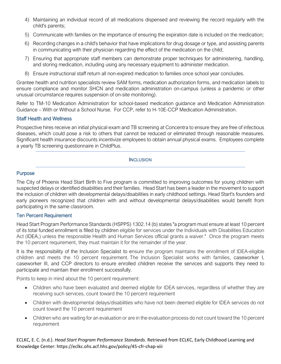- 4) Maintaining an individual record of all medications dispensed and reviewing the record regularly with the child's parents;
- 5) Communicate with families on the importance of ensuring the expiration date is included on the medication;
- 6) Recording changes in a child's behavior that have implications for drug dosage or type, and assisting parents in communicating with their physician regarding the effect of the medication on the child;
- 7) Ensuring that appropriate staff members can demonstrate proper techniques for administering, handling, and storing medication, including using any necessary equipment to administer medication.
- 8) Ensure instructional staff return all non-expired medication to families once school year concludes.

Grantee health and nutrition specialists review SAM forms, medication authorization forms, and medication labels to ensure compliance and monitor SHCN and medication administration on-campus (unless a pandemic or other unusual circumstance requires suspension of on-site monitoring).

Refer to TM-10 Medication Administration for school-based medication guidance and Medication Administration Guidance – With or Without a School Nurse. For CCP, refer to H-10E-CCP Medication Administration.

## Staff Health and Wellness

Prospective hires receive an initial physical exam and TB screening at Concentra to ensure they are free of infectious diseases, which could pose a risk to others that cannot be reduced or eliminated through reasonable measures. Significant health insurance discounts incentivize employees to obtain annual physical exams. Employees complete a yearly TB screening questionnaire in ChildPlus.

## **INCLUSION**

## Purpose

The City of Phoenix Head Start Birth to Five program is committed to improving outcomes for young children with suspected delays or identified disabilities and their families. Head Start has been a leader in the movement to support the inclusion of children with developmental delays/disabilities in early childhood settings. Head Start's founders and early pioneers recognized that children with and without developmental delays/disabilities would benefit from participating in the same classroom.

## Ten Percent Requirement

Head Start Program Performance Standards (HSPPS) 1302.14 (b) states "a program must ensure at least 10 percent of its total funded enrollment is filled by children eligible for services under the Individuals with Disabilities Education Act (IDEA,) unless the responsible Health and Human Services official grants a waiver." Once the program meets the 10 percent requirement, they must maintain it for the remainder of the year.

It is the responsibility of the Inclusion Specialist to ensure the program maintains the enrollment of IDEA-eligible children and meets the 10 percent requirement. The Inclusion Specialist works with families, caseworker I, caseworker III, and CCP directors to ensure enrolled children receive the services and supports they need to participate and maintain their enrollment successfully.

Points to keep in mind about the 10 percent requirement:

- Children who have been evaluated and deemed eligible for IDEA services, regardless of whether they are receiving such services, count toward the 10 percent requirement
- Children with developmental delays/disabilities who have not been deemed eligible for IDEA services do not count toward the 10 percent requirement
- Children who are waiting for an evaluation or are in the evaluation process do not count toward the 10 percent requirement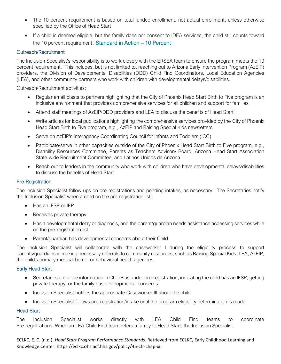- The 10 percent requirement is based on total funded enrollment, not actual enrollment, unless otherwise specified by the Office of Head Start
- If a child is deemed eligible, but the family does not consent to IDEA services, the child still counts toward the 10 percent requirement. [Standard in Action](https://eclkc.ohs.acf.hhs.gov/sites/default/files/pdf/10-percent-eligibility.pdf) – 10 Percent

# Outreach/Recruitment

The Inclusion Specialist's responsibility is to work closely with the ERSEA team to ensure the program meets the 10 percent requirement. This includes, but is not limited to, reaching out to Arizona Early Intervention Program (AzEIP) providers, the Division of Developmental Disabilities (DDD) Child Find Coordinators, Local Education Agencies (LEA), and other community partners who work with children with developmental delays/disabilities.

Outreach/Recruitment activities:

- Regular email blasts to partners highlighting that the City of Phoenix Head Start Birth to Five program is an inclusive environment that provides comprehensive services for all children and support for families
- Attend staff meetings of AzEIP/DDD providers and LEA to discuss the benefits of Head Start
- Write articles for local publications highlighting the comprehensive services provided by the City of Phoenix Head Start Birth to Five program, e.g., AzEIP and Raising Special Kids newsletters
- Serve on AzEIP's Interagency Coordinating Council for Infants and Toddlers (ICC)
- Participate/serve in other capacities outside of the City of Phoenix Head Start Birth to Five program, e.g., Disability Resources Committee, Parents as Teachers Advisory Board, Arizona Head Start Association State-wide Recruitment Committee, and Latinos Unidos de Arizona
- Reach out to leaders in the community who work with children who have developmental delays/disabilities to discuss the benefits of Head Start

## Pre-Registration

The Inclusion Specialist follow-ups on pre-registrations and pending intakes, as necessary. The Secretaries notify the Inclusion Specialist when a child on the pre-registration list:

- Has an IFSP or IEP
- Receives private therapy
- Has a developmental delay or diagnosis, and the parent/guardian needs assistance accessing services while on the pre-registration list
- Parent/guardian has developmental concerns about their Child

The Inclusion Specialist will collaborate with the caseworker I during the eligibility process to support parents/guardians in making necessary referrals to community resources, such as Raising Special Kids, LEA, AzEIP, the child's primary medical home, or behavioral health agencies.

# Early Head Start

- Secretaries enter the information in ChildPlus under pre-registration, indicating the child has an IFSP, getting private therapy, or the family has developmental concerns
- Inclusion Specialist notifies the appropriate Caseworker III about the child
- Inclusion Specialist follows pre-registration/intake until the program eligibility determination is made

## Head Start

The Inclusion Specialist works directly with LEA Child Find teams to coordinate Pre-registrations. When an LEA Child Find team refers a family to Head Start, the Inclusion Specialist: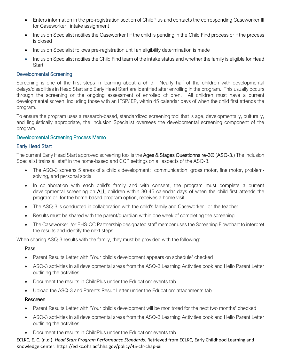- Enters information in the pre-registration section of ChildPlus and contacts the corresponding Caseworker III for Caseworker I intake assignment
- Inclusion Specialist notifies the Caseworker I if the child is pending in the Child Find process or if the process is closed
- Inclusion Specialist follows pre-registration until an eligibility determination is made
- Inclusion Specialist notifies the Child Find team of the intake status and whether the family is eligible for Head **Start**

## Developmental Screening

Screening is one of the first steps in learning about a child. Nearly half of the children with developmental delays/disabilities in Head Start and Early Head Start are identified after enrolling in the program. This usually occurs through the screening or the ongoing assessment of enrolled children. All children must have a current developmental screen, including those with an IFSP/IEP, within 45 calendar days of when the child first attends the program.

To ensure the program uses a research-based, standardized screening tool that is age, developmentally, culturally, and linguistically appropriate, the Inclusion Specialist oversees the developmental screening component of the program.

## [Developmental Screening Process Memo](https://www.phoenix.gov/humanservicessite/Documents/Developmental%20Screening%20Process.pdf)

## Early Head Start

The current Early Head Start approved screening tool is the Ages & Stages Questionnaire-3® (ASQ-3.) The Inclusion Specialist trains all staff in the home-based and CCP settings on all aspects of the ASQ-3.

- The ASQ-3 screens 5 areas of a child's development: communication, gross motor, fine motor, problemsolving, and personal social
- In collaboration with each child's family and with consent, the program must complete a current developmental screening on ALL children within 30-45 calendar days of when the child first attends the program or, for the home-based program option, receives a home visit
- The ASQ-3 is conducted in collaboration with the child's family and Caseworker I or the teacher
- Results must be shared with the parent/quardian within one week of completing the screening
- The Caseworker I/or EHS-CC Partnership designated staff member uses the Screening Flowchart to interpret the results and identify the next steps

When sharing ASQ-3 results with the family, they must be provided with the following:

## Pass

- Parent Results Letter with "Your child's development appears on schedule" checked
- ASQ-3 activities in all developmental areas from the ASQ-3 Learning Activities book and Hello Parent Letter outlining the activities
- Document the results in ChildPlus under the Education: events tab
- Upload the ASQ-3 and Parents Result Letter under the Education: attachments tab

## Rescreen

- Parent Results Letter with "Your child's development will be monitored for the next two months" checked
- ASQ-3 activities in all developmental areas from the ASQ-3 Learning Activities book and Hello Parent Letter outlining the activities
- Document the results in ChildPlus under the Education: events tab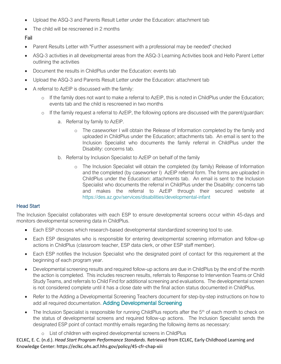- Upload the ASQ-3 and Parents Result Letter under the Education: attachment tab
- The child will be rescreened in 2 months

# Fail

- Parent Results Letter with "Further assessment with a professional may be needed" checked
- ASQ-3 activities in all developmental areas from the ASQ-3 Learning Activities book and Hello Parent Letter outlining the activities
- Document the results in ChildPlus under the Education: events tab
- Upload the ASQ-3 and Parents Result Letter under the Education: attachment tab
- A referral to AzEIP is discussed with the family:
	- o If the family does not want to make a referral to AzEIP, this is noted in ChildPlus under the Education; events tab and the child is rescreened in two months
	- o If the family request a referral to AzEIP, the following options are discussed with the parent/guardian:
		- a. Referral by family to AzEIP.
			- o The caseworker I will obtain the Release of Information completed by the family and uploaded in ChildPlus under the Education; attachments tab. An email is sent to the Inclusion Specialist who documents the family referral in ChildPlus under the Disability: concerns tab.
		- b. Referral by Inclusion Specialist to AzEIP on behalf of the family
			- o The Inclusion Specialist will obtain the completed (by family) Release of Information and the completed (by caseworker I) AzEIP referral form. The forms are uploaded in ChildPlus under the Education: attachments tab. An email is sent to the Inclusion Specialist who documents the referral in ChildPlus under the Disability: concerns tab and makes the referral to AzEIP through their secured website at <https://des.az.gov/services/disabilities/developmental-infant>

# Head Start

The Inclusion Specialist collaborates with each ESP to ensure developmental screens occur within 45-days and monitors developmental screening data in ChildPlus.

- Each ESP chooses which research-based developmental standardized screening tool to use.
- Each ESP designates who is responsible for entering developmental screening information and follow-up actions in ChildPlus (classroom teacher, ESP data clerk, or other ESP staff member).
- Each ESP notifies the Inclusion Specialist who the designated point of contact for this requirement at the beginning of each program year.
- Developmental screening results and required follow-up actions are due in ChildPlus by the end of the month the action is completed. This includes rescreen results, referrals to Response to Intervention Teams or Child Study Teams, and referrals to Child Find for additional screening and evaluations. The developmental screen is not considered complete until it has a close date with the final action status documented in ChildPlus.
- Refer to the Adding a Developmental Screening Teachers document for step-by-step instructions on how to add all required documentation. [Adding Developmental Screening](https://www.phoenix.gov/humanservicessite/Documents/Adding%20a%20Developmental%20Screening%20Teachers%20Update%2012-10-2020.pdf)
- The Inclusion Specialist is responsible for running ChildPlus reports after the 5<sup>th</sup> of each month to check on the status of developmental screens and required follow-up actions. The Inclusion Specialist sends the designated ESP point of contact monthly emails regarding the following items as necessary:
	- o List of children with expired developmental screens in ChildPlus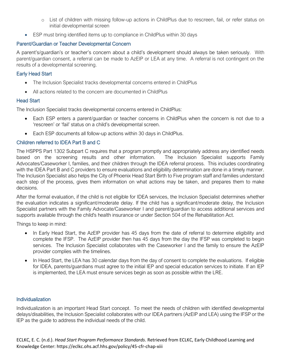- o List of children with missing follow-up actions in ChildPlus due to rescreen, fail, or refer status on initial developmental screen
- ESP must bring identified items up to compliance in ChildPlus within 30 days

## Parent/Guardian or Teacher Developmental Concern

A parent's/guardian's or teacher's concern about a child's development should always be taken seriously. With parent/guardian consent, a referral can be made to AzEIP or LEA at any time. A referral is not contingent on the results of a developmental screening.

## Early Head Start

- The Inclusion Specialist tracks developmental concerns entered in ChildPlus
- All actions related to the concern are documented in ChildPlus

## Head Start

The Inclusion Specialist tracks developmental concerns entered in ChildPlus:

- Each ESP enters a parent/guardian or teacher concerns in ChildPlus when the concern is not due to a 'rescreen' or 'fail' status on a child's developmental screen.
- Each ESP documents all follow-up actions within 30 days in ChildPlus.

# Children referred to IDEA Part B and C

The HSPPS Part 1302 Subpart C requires that a program promptly and appropriately address any identified needs based on the screening results and other information. The Inclusion Specialist supports Family Advocates/Caseworker I, families, and their children through the IDEA referral process. This includes coordinating with the IDEA Part B and C providers to ensure evaluations and eligibility determination are done in a timely manner. The Inclusion Specialist also helps the City of Phoenix Head Start Birth to Five program staff and families understand each step of the process, gives them information on what actions may be taken, and prepares them to make decisions.

After the formal evaluation, if the child is not eligible for IDEA services, the Inclusion Specialist determines whether the evaluation indicates a significant/moderate delay. If the child has a significant/moderate delay, the Inclusion Specialist partners with the Family Advocate/Caseworker I and parent/guardian to access additional services and supports available through the child's health insurance or under Section 504 of the Rehabilitation Act.

Things to keep in mind:

- In Early Head Start, the AzEIP provider has 45 days from the date of referral to determine eligibility and complete the IFSP. The AzEIP provider then has 45 days from the day the IFSP was completed to begin services. The Inclusion Specialist collaborates with the Caseworker I and the family to ensure the AzEIP provider complies with the timelines.
- In Head Start, the LEA has 30 calendar days from the day of consent to complete the evaluations. If eligible for IDEA, parents/guardians must agree to the initial IEP and special education services to initiate. If an IEP is implemented, the LEA must ensure services begin as soon as possible within the LRE.

## **Individualization**

Individualization is an important Head Start concept. To meet the needs of children with identified developmental delays/disabilities, the Inclusion Specialist collaborates with our IDEA partners (AzEIP and LEA) using the IFSP or the IEP as the guide to address the individual needs of the child.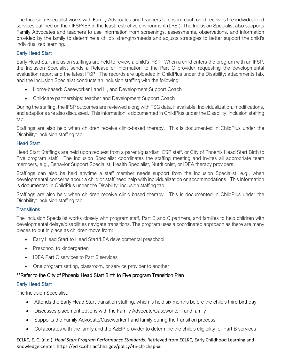The Inclusion Specialist works with Family Advocates and teachers to ensure each child receives the individualized services outlined on their IFSP/IEP in the least restrictive environment (LRE.) The Inclusion Specialist also supports Family Advocates and teachers to use information from screenings, assessments, observations, and information provided by the family to determine a child's strengths/needs and adjusts strategies to better support the child's individualized learning.

# Early Head Start

Early Head Start inclusion staffings are held to review a child's IFSP. When a child enters the program with an IFSP, the Inclusion Specialist sends a Release of Information to the Part C provider requesting the developmental evaluation report and the latest IFSP. The records are uploaded in ChildPlus under the Disability: attachments tab, and the Inclusion Specialist conducts an inclusion staffing with the following:

- Home-based: Caseworker I and III, and Development Support Coach
- Childcare partnerships: teacher and Development Support Coach

During the staffing, the IFSP outcomes are reviewed along with TSG data, if available. Individualization, modifications, and adaptions are also discussed. This information is documented in ChildPlus under the Disability: inclusion staffing tab.

Staffings are also held when children receive clinic-based therapy. This is documented in ChildPlus under the Disability: inclusion staffing tab.

# Head Start

Head Start Staffings are held upon request from a parent/guardian, ESP staff, or City of Phoenix Head Start Birth to Five program staff. The Inclusion Specialist coordinates the staffing meeting and invites all appropriate team members, e.g., Behavior Support Specialist, Health Specialist, Nutritionist, or IDEA therapy providers.

Staffings can also be held anytime a staff member needs support from the Inclusion Specialist, e.g., when developmental concerns about a child or staff need help with individualization or accommodations. This information is documented in ChildPlus under the Disability: inclusion staffing tab.

Staffings are also held when children receive clinic-based therapy. This is documented in ChildPlus under the Disability: inclusion staffing tab.

# **Transitions**

The Inclusion Specialist works closely with program staff, Part B and C partners, and families to help children with developmental delays/disabilities navigate transitions. The program uses a coordinated approach as there are many pieces to put in place as children move from:

- Early Head Start to Head Start/LEA developmental preschool
- Preschool to kindergarten
- IDEA Part C services to Part B services
- One program setting, classroom, or service provider to another

# \*\*Refer to the City of Phoenix Head Start Birth to Five program Transition Plan

# Early Head Start

The Inclusion Specialist:

- Attends the Early Head Start transition staffing, which is held six months before the child's third birthday
- Discusses placement options with the Family Advocate/Caseworker I and family
- Supports the Family Advocate/Caseworker I and family during the transition process
- Collaborates with the family and the AzEIP provider to determine the child's eligibility for Part B services